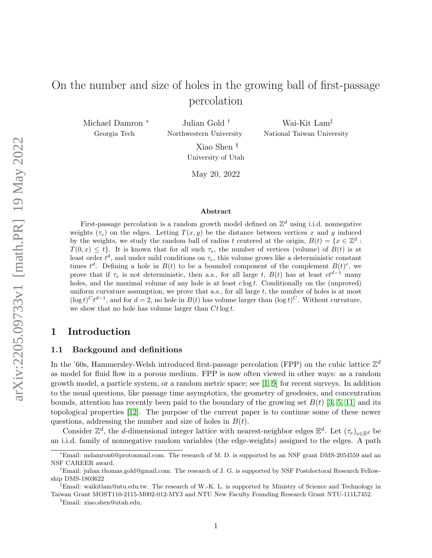# On the number and size of holes in the growing ball of first-passage percolation

Michael Damron <sup>∗</sup> Georgia Tech

Julian Gold † Northwestern University

Wai-Kit Lam‡ National Taiwan University

Xiao Shen § University of Utah

May 20, 2022

#### Abstract

First-passage percolation is a random growth model defined on  $\mathbb{Z}^d$  using i.i.d. nonnegative weights  $(\tau_e)$  on the edges. Letting  $T(x, y)$  be the distance between vertices x and y induced by the weights, we study the random ball of radius t centered at the origin,  $B(t) = \{x \in \mathbb{Z}^d :$  $T(0, x) \leq t$ . It is known that for all such  $\tau_e$ , the number of vertices (volume) of  $B(t)$  is at least order  $t^d$ , and under mild conditions on  $\tau_e$ , this volume grows like a deterministic constant times  $t^d$ . Defining a hole in  $B(t)$  to be a bounded component of the complement  $B(t)^c$ , we prove that if  $\tau_e$  is not deterministic, then a.s., for all large t,  $B(t)$  has at least  $ct^{d-1}$  many holes, and the maximal volume of any hole is at least  $c \log t$ . Conditionally on the (unproved) uniform curvature assumption, we prove that a.s., for all large  $t$ , the number of holes is at most  $(\log t)^C t^{d-1}$ , and for  $d = 2$ , no hole in  $B(t)$  has volume larger than  $(\log t)^C$ . Without curvature, we show that no hole has volume larger than  $Ct \log t$ .

# 1 Introduction

#### 1.1 Backgound and definitions

In the '60s, Hammersley-Welsh introduced first-passage percolation (FPP) on the cubic lattice  $\mathbb{Z}^d$ as model for fluid flow in a porous medium. FPP is now often viewed in other ways: as a random growth model, a particle system, or a random metric space; see [\[1,](#page-26-0) [9\]](#page-27-0) for recent surveys. In addition to the usual questions, like passage time asymptotics, the geometry of geodesics, and concentration bounds, attention has recently been paid to the boundary of the growing set  $B(t)$  [\[3,](#page-26-1) [5,](#page-27-1) [11\]](#page-27-2) and its topological properties [\[12\]](#page-27-3). The purpose of the current paper is to continue some of these newer questions, addressing the number and size of holes in  $B(t)$ .

Consider  $\mathbb{Z}^d$ , the d-dimensional integer lattice with nearest-neighbor edges  $\mathbb{E}^d$ . Let  $(\tau_e)_{e \in \mathbb{E}^d}$  be an i.i.d. family of nonnegative random variables (the edge-weights) assigned to the edges. A path

<sup>∗</sup>Email: mdamron6@protonmail.com. The research of M. D. is supported by an NSF grant DMS-2054559 and an NSF CAREER award.

<sup>†</sup>Email: julian.thomas.gold@gmail.com. The research of J. G. is supported by NSF Postdoctoral Research Fellowship DMS-1803622

<sup>‡</sup>Email: waikitlam@ntu.edu.tw. The research of W.-K. L. is supported by Ministry of Science and Technology in Taiwan Grant MOST110-2115-M002-012-MY3 and NTU New Faculty Founding Research Grant NTU-111L7452.

<sup>§</sup>Email: xiao.shen@utah.edu.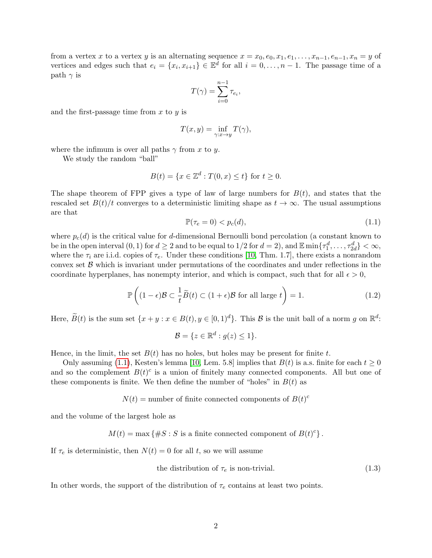from a vertex x to a vertex y is an alternating sequence  $x = x_0, e_0, x_1, e_1, \ldots, x_{n-1}, e_{n-1}, x_n = y$  of vertices and edges such that  $e_i = \{x_i, x_{i+1}\} \in \mathbb{E}^d$  for all  $i = 0, \ldots, n-1$ . The passage time of a path  $\gamma$  is

$$
T(\gamma) = \sum_{i=0}^{n-1} \tau_{e_i},
$$

and the first-passage time from  $x$  to  $y$  is

$$
T(x,y)=\inf_{\gamma:x\rightarrow y}T(\gamma),
$$

where the infimum is over all paths  $\gamma$  from x to y.

We study the random "ball"

$$
B(t) = \{x \in \mathbb{Z}^d : T(0, x) \le t\} \text{ for } t \ge 0.
$$

The shape theorem of FPP gives a type of law of large numbers for  $B(t)$ , and states that the rescaled set  $B(t)/t$  converges to a deterministic limiting shape as  $t \to \infty$ . The usual assumptions are that

<span id="page-1-0"></span>
$$
\mathbb{P}(\tau_e = 0) < p_c(d),\tag{1.1}
$$

where  $p_c(d)$  is the critical value for d-dimensional Bernoulli bond percolation (a constant known to be in the open interval  $(0, 1)$  for  $d \geq 2$  and to be equal to  $1/2$  for  $d = 2$ ), and  $\mathbb{E} \min\{\tau_1^d, \ldots, \tau_{2d}^d\} < \infty$ , where the  $\tau_i$  are i.i.d. copies of  $\tau_e$ . Under these conditions [\[10,](#page-27-4) Thm. 1.7], there exists a nonrandom convex set  $\beta$  which is invariant under permutations of the coordinates and under reflections in the coordinate hyperplanes, has nonempty interior, and which is compact, such that for all  $\epsilon > 0$ ,

<span id="page-1-2"></span>
$$
\mathbb{P}\left((1-\epsilon)\mathcal{B}\subset\frac{1}{t}\widetilde{B}(t)\subset(1+\epsilon)\mathcal{B}\text{ for all large }t\right)=1.
$$
 (1.2)

Here,  $\widetilde{B}(t)$  is the sum set  $\{x+y : x \in B(t), y \in [0,1)^d\}$ . This  $\mathcal B$  is the unit ball of a norm g on  $\mathbb R^d$ :

$$
\mathcal{B} = \{ z \in \mathbb{R}^d : g(z) \le 1 \}.
$$

Hence, in the limit, the set  $B(t)$  has no holes, but holes may be present for finite t.

Only assuming [\(1.1\)](#page-1-0), Kesten's lemma [\[10,](#page-27-4) Lem. 5.8] implies that  $B(t)$  is a.s. finite for each  $t \ge 0$ and so the complement  $B(t)^c$  is a union of finitely many connected components. All but one of these components is finite. We then define the number of "holes" in  $B(t)$  as

$$
N(t)
$$
 = number of finite connected components of  $B(t)^c$ 

and the volume of the largest hole as

$$
M(t) = \max \{ \#S : S \text{ is a finite connected component of } B(t)^c \}.
$$

If  $\tau_e$  is deterministic, then  $N(t) = 0$  for all t, so we will assume

<span id="page-1-1"></span>the distribution of 
$$
\tau_e
$$
 is non-trivial. (1.3)

In other words, the support of the distribution of  $\tau_e$  contains at least two points.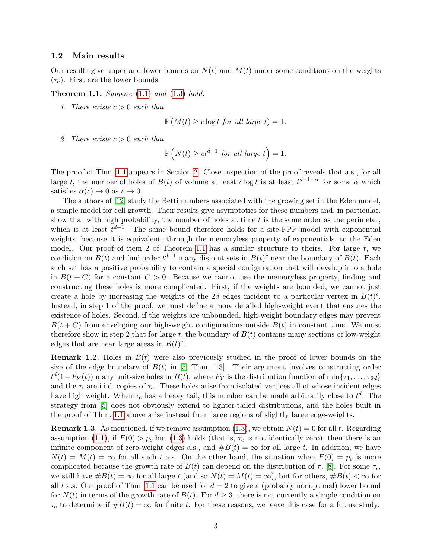#### 1.2 Main results

Our results give upper and lower bounds on  $N(t)$  and  $M(t)$  under some conditions on the weights  $(\tau_e)$ . First are the lower bounds.

<span id="page-2-0"></span>**Theorem 1.1.** Suppose  $(1.1)$  and  $(1.3)$  hold.

1. There exists  $c > 0$  such that

$$
\mathbb{P}\left(M(t) \geq c \log t \text{ for all large } t\right) = 1.
$$

2. There exists  $c > 0$  such that

$$
\mathbb{P}\left(N(t) \ge ct^{d-1} \text{ for all large } t\right) = 1.
$$

The proof of Thm. [1.1](#page-2-0) appears in Section [2.](#page-4-0) Close inspection of the proof reveals that a.s., for all large t, the number of holes of  $B(t)$  of volume at least  $c \log t$  is at least  $t^{d-1-\alpha}$  for some  $\alpha$  which satisfies  $\alpha(c) \to 0$  as  $c \to 0$ .

The authors of [\[12\]](#page-27-3) study the Betti numbers associated with the growing set in the Eden model, a simple model for cell growth. Their results give asymptotics for these numbers and, in particular, show that with high probability, the number of holes at time  $t$  is the same order as the perimeter. which is at least  $t^{d-1}$ . The same bound therefore holds for a site-FPP model with exponential weights, because it is equivalent, through the memoryless property of exponentials, to the Eden model. Our proof of item 2 of Theorem [1.1](#page-2-0) has a similar structure to theirs. For large  $t$ , we condition on  $B(t)$  and find order  $t^{d-1}$  many disjoint sets in  $B(t)^c$  near the boundary of  $B(t)$ . Each such set has a positive probability to contain a special configuration that will develop into a hole in  $B(t+C)$  for a constant  $C>0$ . Because we cannot use the memoryless property, finding and constructing these holes is more complicated. First, if the weights are bounded, we cannot just create a hole by increasing the weights of the 2d edges incident to a particular vertex in  $B(t)^c$ . Instead, in step 1 of the proof, we must define a more detailed high-weight event that ensures the existence of holes. Second, if the weights are unbounded, high-weight boundary edges may prevent  $B(t+C)$  from enveloping our high-weight configurations outside  $B(t)$  in constant time. We must therefore show in step 2 that for large t, the boundary of  $B(t)$  contains many sections of low-weight edges that are near large areas in  $B(t)^c$ .

**Remark 1.2.** Holes in  $B(t)$  were also previously studied in the proof of lower bounds on the size of the edge boundary of  $B(t)$  in [\[5,](#page-27-1) Thm. 1.3]. Their argument involves constructing order  $t^{d}(1-F_Y(t))$  many unit-size holes in  $B(t)$ , where  $F_Y$  is the distribution function of  $\min\{\tau_1,\ldots,\tau_{2d}\}$ and the  $\tau_i$  are i.i.d. copies of  $\tau_e$ . These holes arise from isolated vertices all of whose incident edges have high weight. When  $\tau_e$  has a heavy tail, this number can be made arbitrarily close to  $t^d$ . The strategy from [\[5\]](#page-27-1) does not obviously extend to lighter-tailed distributions, and the holes built in the proof of Thm. [1.1](#page-2-0) above arise instead from large regions of slightly large edge-weights.

**Remark 1.3.** As mentioned, if we remove assumption [\(1.3\)](#page-1-1), we obtain  $N(t) = 0$  for all t. Regarding assumption [\(1.1\)](#page-1-0), if  $F(0) > p_c$  but [\(1.3\)](#page-1-1) holds (that is,  $\tau_e$  is not identically zero), then there is an infinite component of zero-weight edges a.s., and  $#B(t) = \infty$  for all large t. In addition, we have  $N(t) = M(t) = \infty$  for all such t a.s. On the other hand, the situation when  $F(0) = p_c$  is more complicated because the growth rate of  $B(t)$  can depend on the distribution of  $\tau_e$  [\[8\]](#page-27-5). For some  $\tau_e$ , we still have  $\#B(t) = \infty$  for all large t (and so  $N(t) = M(t) = \infty$ ), but for others,  $\#B(t) < \infty$  for all t a.s. Our proof of Thm. [1.1](#page-2-0) can be used for  $d = 2$  to give a (probably nonoptimal) lower bound for  $N(t)$  in terms of the growth rate of  $B(t)$ . For  $d \geq 3$ , there is not currently a simple condition on  $\tau_e$  to determine if  $\#B(t) = \infty$  for finite t. For these reasons, we leave this case for a future study.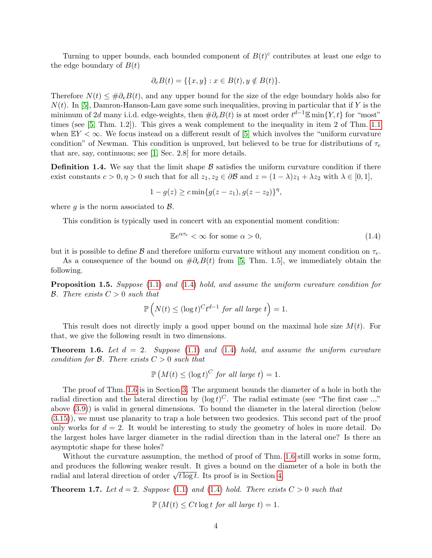Turning to upper bounds, each bounded component of  $B(t)^c$  contributes at least one edge to the edge boundary of  $B(t)$ 

$$
\partial_e B(t) = \{ \{x, y\} : x \in B(t), y \notin B(t) \}.
$$

Therefore  $N(t) \leq #\partial_e B(t)$ , and any upper bound for the size of the edge boundary holds also for  $N(t)$ . In [\[5\]](#page-27-1), Damron-Hanson-Lam gave some such inequalities, proving in particular that if Y is the minimum of 2d many i.i.d. edge-weights, then  $\#\partial_e B(t)$  is at most order  $t^{d-1} \mathbb{E} \min\{Y, t\}$  for "most" times (see [\[5,](#page-27-1) Thm. 1.2]). This gives a weak complement to the inequality in item 2 of Thm. [1.1](#page-2-0) when  $EY < \infty$ . We focus instead on a different result of [\[5\]](#page-27-1) which involves the "uniform curvature" condition" of Newman. This condition is unproved, but believed to be true for distributions of  $\tau_e$ that are, say, continuous; see [\[1,](#page-26-0) Sec. 2.8] for more details.

<span id="page-3-3"></span>**Definition 1.4.** We say that the limit shape  $\beta$  satisfies the uniform curvature condition if there exist constants  $c > 0, \eta > 0$  such that for all  $z_1, z_2 \in \partial \mathcal{B}$  and  $z = (1 - \lambda)z_1 + \lambda z_2$  with  $\lambda \in [0, 1],$ 

$$
1 - g(z) \geq c \min\{g(z - z_1), g(z - z_2)\}^{\eta},
$$

where q is the norm associated to  $\beta$ .

This condition is typically used in concert with an exponential moment condition:

<span id="page-3-0"></span>
$$
\mathbb{E}e^{\alpha\tau_e} < \infty \text{ for some } \alpha > 0,\tag{1.4}
$$

but it is possible to define  $\beta$  and therefore uniform curvature without any moment condition on  $\tau_e$ .

As a consequence of the bound on  $\#\partial_e B(t)$  from [\[5,](#page-27-1) Thm. 1.5], we immediately obtain the following.

**Proposition 1.5.** Suppose [\(1.1\)](#page-1-0) and [\(1.4\)](#page-3-0) hold, and assume the uniform curvature condition for **B.** There exists  $C > 0$  such that

$$
\mathbb{P}\left(N(t) \leq (\log t)^C t^{d-1} \text{ for all large } t\right) = 1.
$$

This result does not directly imply a good upper bound on the maximal hole size  $M(t)$ . For that, we give the following result in two dimensions.

<span id="page-3-1"></span>**Theorem 1.6.** Let  $d = 2$ . Suppose [\(1.1\)](#page-1-0) and [\(1.4\)](#page-3-0) hold, and assume the uniform curvature condition for  $\beta$ . There exists  $C > 0$  such that

$$
\mathbb{P}\left(M(t) \leq (\log t)^C \text{ for all large } t\right) = 1.
$$

The proof of Thm. [1.6](#page-3-1) is in Section [3.](#page-16-0) The argument bounds the diameter of a hole in both the radial direction and the lateral direction by  $(\log t)^C$ . The radial estimate (see "The first case ..." above [\(3.9\)](#page-18-0)) is valid in general dimensions. To bound the diameter in the lateral direction (below [\(3.15\)](#page-19-0)), we must use planarity to trap a hole between two geodesics. This second part of the proof only works for  $d = 2$ . It would be interesting to study the geometry of holes in more detail. Do the largest holes have larger diameter in the radial direction than in the lateral one? Is there an asymptotic shape for these holes?

Without the curvature assumption, the method of proof of Thm. [1.6](#page-3-1) still works in some form, and produces the following weaker result. It gives a bound on the diameter of a hole in both the and produces the following weaker result. It gives a bound on the direction of order  $\sqrt{t \log t}$ . Its proof is in Section [4.](#page-23-0)

<span id="page-3-2"></span>**Theorem 1.7.** Let  $d = 2$ . Suppose [\(1.1\)](#page-1-0) and [\(1.4\)](#page-3-0) hold. There exists  $C > 0$  such that

 $\mathbb{P}(M(t) \leq Ct \log t$  for all large  $t) = 1$ .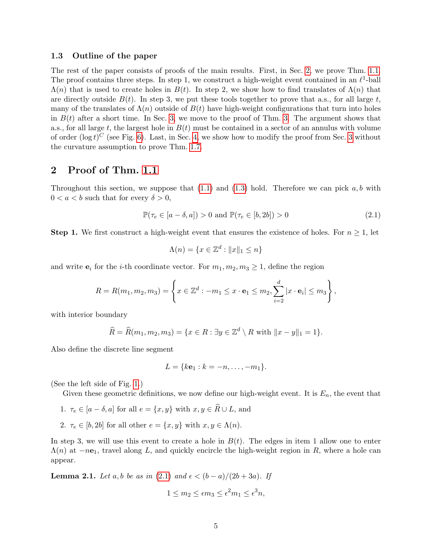#### 1.3 Outline of the paper

The rest of the paper consists of proofs of the main results. First, in Sec. [2,](#page-4-0) we prove Thm. [1.1.](#page-2-0) The proof contains three steps. In step 1, we construct a high-weight event contained in an  $\ell^1$ -ball  $\Lambda(n)$  that is used to create holes in  $B(t)$ . In step 2, we show how to find translates of  $\Lambda(n)$  that are directly outside  $B(t)$ . In step 3, we put these tools together to prove that a.s., for all large t, many of the translates of  $\Lambda(n)$  outside of  $B(t)$  have high-weight configurations that turn into holes in  $B(t)$  after a short time. In Sec. [3,](#page-16-0) we move to the proof of Thm. [3.](#page-16-0) The argument shows that a.s., for all large t, the largest hole in  $B(t)$  must be contained in a sector of an annulus with volume of order  $(\log t)^C$  (see Fig. [6\)](#page-16-1). Last, in Sec. [4,](#page-23-0) we show how to modify the proof from Sec. [3](#page-16-0) without the curvature assumption to prove Thm. [1.7.](#page-3-2)

### <span id="page-4-0"></span>2 Proof of Thm. [1.1](#page-2-0)

Throughout this section, we suppose that  $(1.1)$  and  $(1.3)$  hold. Therefore we can pick a, b with  $0 < a < b$  such that for every  $\delta > 0$ ,

<span id="page-4-1"></span>
$$
\mathbb{P}(\tau_e \in [a - \delta, a]) > 0 \text{ and } \mathbb{P}(\tau_e \in [b, 2b]) > 0 \tag{2.1}
$$

**Step 1.** We first construct a high-weight event that ensures the existence of holes. For  $n \geq 1$ , let

$$
\Lambda(n) = \{ x \in \mathbb{Z}^d : ||x||_1 \le n \}
$$

and write  $e_i$  for the *i*-th coordinate vector. For  $m_1, m_2, m_3 \geq 1$ , define the region

$$
R=R(m_1,m_2,m_3)=\left\{x\in\mathbb{Z}^d:-m_1\leq x\cdot\mathbf{e}_1\leq m_2,\sum_{i=2}^d|x\cdot\mathbf{e}_i|\leq m_3\right\},\,
$$

with interior boundary

$$
\widehat{R} = \widehat{R}(m_1, m_2, m_3) = \{x \in R : \exists y \in \mathbb{Z}^d \setminus R \text{ with } ||x - y||_1 = 1\}.
$$

Also define the discrete line segment

$$
L = \{k\mathbf{e}_1 : k = -n, \dots, -m_1\}.
$$

(See the left side of Fig. [1.](#page-5-0))

Given these geometric definitions, we now define our high-weight event. It is  $E_n$ , the event that

- 1.  $\tau_e \in [a \delta, a]$  for all  $e = \{x, y\}$  with  $x, y \in \hat{R} \cup L$ , and
- 2.  $\tau_e \in [b, 2b]$  for all other  $e = \{x, y\}$  with  $x, y \in \Lambda(n)$ .

In step 3, we will use this event to create a hole in  $B(t)$ . The edges in item 1 allow one to enter  $\Lambda(n)$  at  $-ne<sub>1</sub>$ , travel along L, and quickly encircle the high-weight region in R, where a hole can appear.

<span id="page-4-2"></span>**Lemma 2.1.** Let a, b be as in [\(2.1\)](#page-4-1) and  $\epsilon < (b-a)/(2b+3a)$ . If

$$
1 \le m_2 \le \epsilon m_3 \le \epsilon^2 m_1 \le \epsilon^3 n,
$$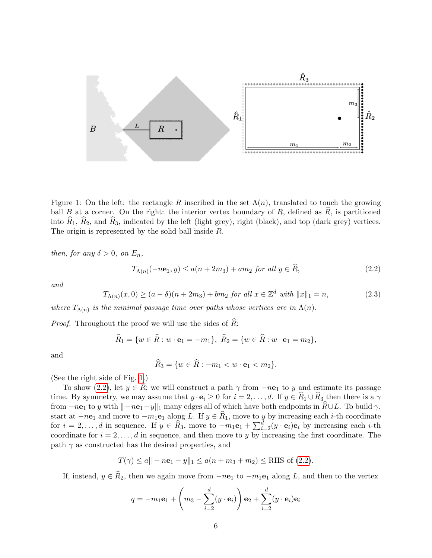

<span id="page-5-0"></span>Figure 1: On the left: the rectangle R inscribed in the set  $\Lambda(n)$ , translated to touch the growing ball B at a corner. On the right: the interior vertex boundary of R, defined as  $\overline{R}$ , is partitioned into  $\hat{R}_1$ ,  $\hat{R}_2$ , and  $\hat{R}_3$ , indicated by the left (light grey), right (black), and top (dark grey) vertices. The origin is represented by the solid ball inside R.

then, for any  $\delta > 0$ , on  $E_n$ ,

<span id="page-5-1"></span>
$$
T_{\Lambda(n)}(-n\mathbf{e}_1, y) \le a(n+2m_3) + am_2 \text{ for all } y \in \widehat{R},\tag{2.2}
$$

and

<span id="page-5-2"></span>
$$
T_{\Lambda(n)}(x,0) \ge (a-\delta)(n+2m_3) + bm_2 \text{ for all } x \in \mathbb{Z}^d \text{ with } ||x||_1 = n,
$$
\n(2.3)

where  $T_{\Lambda(n)}$  is the minimal passage time over paths whose vertices are in  $\Lambda(n)$ .

*Proof.* Throughout the proof we will use the sides of  $\tilde{R}$ :

$$
\widehat{R}_1 = \{ w \in \widehat{R} : w \cdot \mathbf{e}_1 = -m_1 \}, \ \widehat{R}_2 = \{ w \in \widehat{R} : w \cdot \mathbf{e}_1 = m_2 \},
$$

and

$$
\hat{R}_3 = \{ w \in \hat{R} : -m_1 < w \cdot \mathbf{e}_1 < m_2 \}.
$$

(See the right side of Fig. [1.](#page-5-0))

To show [\(2.2\)](#page-5-1), let  $y \in \hat{R}$ ; we will construct a path  $\gamma$  from  $-n\mathbf{e}_1$  to y and estimate its passage time. By symmetry, we may assume that  $y \cdot \mathbf{e}_i \geq 0$  for  $i = 2, \ldots, d$ . If  $y \in \hat{R}_1 \cup \hat{R}_3$  then there is a  $\gamma$ from  $-n\mathbf{e}_1$  to y with  $\|-n\mathbf{e}_1-y\|_1$  many edges all of which have both endpoints in  $\widehat{R}\cup L$ . To build  $\gamma$ , start at  $-n\mathbf{e}_1$  and move to  $-m_1\mathbf{e}_1$  along L. If  $y \in R_1$ , move to y by increasing each i-th coordinate for  $i = 2, \ldots, d$  in sequence. If  $y \in \widehat{R}_3$ , move to  $-m_1\mathbf{e}_1 + \sum_{i=2}^d (y \cdot \mathbf{e}_i) \mathbf{e}_i$  by increasing each *i*-th coordinate for  $i = 2, \ldots, d$  in sequence, and then move to y by increasing the first coordinate. The path  $\gamma$  as constructed has the desired properties, and

$$
T(\gamma) \le a \| -n\mathbf{e}_1 - y \|_1 \le a(n+m_3+m_2) \le \text{RHS of (2.2)}.
$$

If, instead,  $y \in \hat{R}_2$ , then we again move from  $-n\mathbf{e}_1$  to  $-m_1\mathbf{e}_1$  along L, and then to the vertex

$$
q = -m_1 \mathbf{e}_1 + \left(m_3 - \sum_{i=2}^d (y \cdot \mathbf{e}_i)\right) \mathbf{e}_2 + \sum_{i=2}^d (y \cdot \mathbf{e}_i) \mathbf{e}_i
$$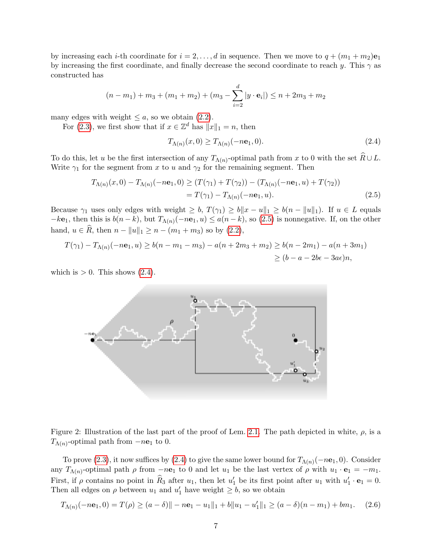by increasing each *i*-th coordinate for  $i = 2, ..., d$  in sequence. Then we move to  $q + (m_1 + m_2)e_1$ by increasing the first coordinate, and finally decrease the second coordinate to reach y. This  $\gamma$  as constructed has

$$
(n - m_1) + m_3 + (m_1 + m_2) + (m_3 - \sum_{i=2}^d |y \cdot \mathbf{e}_i|) \le n + 2m_3 + m_2
$$

many edges with weight  $\leq a$ , so we obtain [\(2.2\)](#page-5-1).

For [\(2.3\)](#page-5-2), we first show that if  $x \in \mathbb{Z}^d$  has  $||x||_1 = n$ , then

<span id="page-6-1"></span><span id="page-6-0"></span>
$$
T_{\Lambda(n)}(x,0) \ge T_{\Lambda(n)}(-n\mathbf{e}_1,0). \tag{2.4}
$$

To do this, let u be the first intersection of any  $T_{\Lambda(n)}$ -optimal path from x to 0 with the set  $R\cup L$ . Write  $\gamma_1$  for the segment from x to u and  $\gamma_2$  for the remaining segment. Then

$$
T_{\Lambda(n)}(x,0) - T_{\Lambda(n)}(-n\mathbf{e}_1,0) \ge (T(\gamma_1) + T(\gamma_2)) - (T_{\Lambda(n)}(-n\mathbf{e}_1, u) + T(\gamma_2))
$$
  
=  $T(\gamma_1) - T_{\Lambda(n)}(-n\mathbf{e}_1, u).$  (2.5)

Because  $\gamma_1$  uses only edges with weight  $\geq b$ ,  $T(\gamma_1) \geq b||x - u||_1 \geq b(n - ||u||_1)$ . If  $u \in L$  equals  $-k\mathbf{e}_1$ , then this is  $b(n-k)$ , but  $T_{\Lambda(n)}(-n\mathbf{e}_1, u) \leq a(n-k)$ , so [\(2.5\)](#page-6-0) is nonnegative. If, on the other hand,  $u \in \hat{R}$ , then  $n - ||u||_1 \geq n - (m_1 + m_3)$  so by [\(2.2\)](#page-5-1),

$$
T(\gamma_1) - T_{\Lambda(n)}(-n\mathbf{e}_1, u) \ge b(n - m_1 - m_3) - a(n + 2m_3 + m_2) \ge b(n - 2m_1) - a(n + 3m_1)
$$
  
 
$$
\ge (b - a - 2b\epsilon - 3a\epsilon)n,
$$

which is  $> 0$ . This shows  $(2.4)$ .



<span id="page-6-2"></span>Figure 2: Illustration of the last part of the proof of Lem. [2.1.](#page-4-2) The path depicted in white,  $\rho$ , is a  $T_{\Lambda(n)}$ -optimal path from  $-ne<sub>1</sub>$  to 0.

To prove [\(2.3\)](#page-5-2), it now suffices by [\(2.4\)](#page-6-1) to give the same lower bound for  $T_{\Lambda(n)}(-n\mathbf{e}_1, 0)$ . Consider any  $T_{\Lambda(n)}$ -optimal path  $\rho$  from  $-n\mathbf{e}_1$  to 0 and let  $u_1$  be the last vertex of  $\rho$  with  $u_1 \cdot \mathbf{e}_1 = -m_1$ . First, if  $\rho$  contains no point in  $\widehat{R}_3$  after  $u_1$ , then let  $u'_1$  be its first point after  $u_1$  with  $u'_1 \cdot \mathbf{e}_1 = 0$ . Then all edges on  $\rho$  between  $u_1$  and  $u'_1$  have weight  $\geq b$ , so we obtain

<span id="page-6-3"></span>
$$
T_{\Lambda(n)}(-n\mathbf{e}_1,0) = T(\rho) \ge (a-\delta) \|-n\mathbf{e}_1 - u_1\|_1 + b\|u_1 - u_1'\|_1 \ge (a-\delta)(n-m_1) + bm_1. \tag{2.6}
$$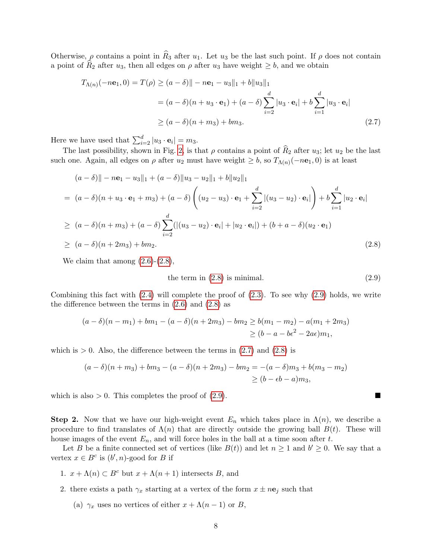Otherwise,  $\rho$  contains a point in  $\widehat{R}_3$  after  $u_1$ . Let  $u_3$  be the last such point. If  $\rho$  does not contain a point of  $R_2$  after  $u_3$ , then all edges on  $\rho$  after  $u_3$  have weight  $\geq b$ , and we obtain

$$
T_{\Lambda(n)}(-n\mathbf{e}_1, 0) = T(\rho) \ge (a - \delta) || - n\mathbf{e}_1 - u_3 ||_1 + b ||u_3||_1
$$
  
=  $(a - \delta)(n + u_3 \cdot \mathbf{e}_1) + (a - \delta) \sum_{i=2}^d |u_3 \cdot \mathbf{e}_i| + b \sum_{i=1}^d |u_3 \cdot \mathbf{e}_i|$   
 $\ge (a - \delta)(n + m_3) + bm_3.$  (2.7)

Here we have used that  $\sum_{i=2}^{d} |u_3 \cdot \mathbf{e}_i| = m_3$ .

The last possibility, shown in Fig. [2,](#page-6-2) is that  $\rho$  contains a point of  $\widehat{R}_2$  after  $u_3$ ; let  $u_2$  be the last such one. Again, all edges on  $\rho$  after  $u_2$  must have weight  $\geq b$ , so  $T_{\Lambda(n)}(-n\mathbf{e}_1, 0)$  is at least

$$
(a - \delta) || - n\mathbf{e}_1 - u_3 ||_1 + (a - \delta) ||u_3 - u_2 ||_1 + b ||u_2 ||_1
$$
  
=  $(a - \delta)(n + u_3 \cdot \mathbf{e}_1 + m_3) + (a - \delta) \left( (u_2 - u_3) \cdot \mathbf{e}_1 + \sum_{i=2}^d |(u_3 - u_2) \cdot \mathbf{e}_i| \right) + b \sum_{i=1}^d |u_2 \cdot \mathbf{e}_i|$   

$$
\geq (a - \delta)(n + m_3) + (a - \delta) \sum_{i=2}^d (|(u_3 - u_2) \cdot \mathbf{e}_i| + |u_2 \cdot \mathbf{e}_i|) + (b + a - \delta)(u_2 \cdot \mathbf{e}_1)
$$
  

$$
\geq (a - \delta)(n + 2m_3) + bm_2.
$$
 (2.8)

We claim that among  $(2.6)-(2.8)$  $(2.6)-(2.8)$ ,

<span id="page-7-2"></span><span id="page-7-1"></span><span id="page-7-0"></span>the term in 
$$
(2.8)
$$
 is minimal.  $(2.9)$ 

Combining this fact with [\(2.4\)](#page-6-1) will complete the proof of [\(2.3\)](#page-5-2). To see why [\(2.9\)](#page-7-1) holds, we write the difference between the terms in  $(2.6)$  and  $(2.8)$  as

$$
(a - \delta)(n - m_1) + bm_1 - (a - \delta)(n + 2m_3) - bm_2 \ge b(m_1 - m_2) - a(m_1 + 2m_3)
$$
  
 
$$
\ge (b - a - b\epsilon^2 - 2a\epsilon)m_1,
$$

which is  $> 0$ . Also, the difference between the terms in  $(2.7)$  and  $(2.8)$  is

$$
(a - \delta)(n + m_3) + bm_3 - (a - \delta)(n + 2m_3) - bm_2 = -(a - \delta)m_3 + b(m_3 - m_2)
$$
  
 
$$
\ge (b - \epsilon b - a)m_3,
$$

which is also  $> 0$ . This completes the proof of  $(2.9)$ .

Step 2. Now that we have our high-weight event  $E_n$  which takes place in  $\Lambda(n)$ , we describe a procedure to find translates of  $\Lambda(n)$  that are directly outside the growing ball  $B(t)$ . These will house images of the event  $E_n$ , and will force holes in the ball at a time soon after t.

Let B be a finite connected set of vertices (like  $B(t)$ ) and let  $n \geq 1$  and  $b' \geq 0$ . We say that a vertex  $x \in B^c$  is  $(b', n)$ -good for B if

- 1.  $x + \Lambda(n) \subset B^c$  but  $x + \Lambda(n+1)$  intersects B, and
- 2. there exists a path  $\gamma_x$  starting at a vertex of the form  $x \pm n\mathbf{e}_i$  such that
	- (a)  $\gamma_x$  uses no vertices of either  $x + \Lambda(n-1)$  or B,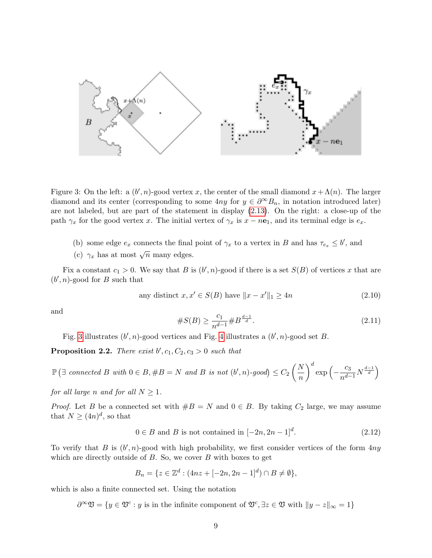

<span id="page-8-0"></span>Figure 3: On the left: a  $(b', n)$ -good vertex x, the center of the small diamond  $x + \Lambda(n)$ . The larger diamond and its center (corresponding to some  $4ny$  for  $y \in \partial^{\infty}B_n$ , in notation introduced later) are not labeled, but are part of the statement in display [\(2.13\)](#page-9-0). On the right: a close-up of the path  $\gamma_x$  for the good vertex x. The initial vertex of  $\gamma_x$  is  $x - n\mathbf{e}_1$ , and its terminal edge is  $e_x$ .

- (b) some edge  $e_x$  connects the final point of  $\gamma_x$  to a vertex in B and has  $\tau_{e_x} \leq b'$ , and
- (c)  $\gamma_x$  has at most  $\sqrt{n}$  many edges.

Fix a constant  $c_1 > 0$ . We say that B is  $(b', n)$ -good if there is a set  $S(B)$  of vertices x that are  $(b', n)$ -good for B such that

<span id="page-8-3"></span>any distinct 
$$
x, x' \in S(B)
$$
 have  $||x - x'||_1 \ge 4n$  (2.10)

and

#S(B) ≥ c1 <sup>n</sup>d−<sup>1</sup> #<sup>B</sup> d−1 <sup>d</sup> . (2.11)

Fig. [3](#page-8-0) illustrates  $(b', n)$ -good vertices and Fig. [4](#page-9-1) illustrates a  $(b', n)$ -good set B.

<span id="page-8-2"></span>**Proposition 2.2.** There exist  $b', c_1, C_2, c_3 > 0$  such that

 $\mathbb{P}(\exists \ connected \ B \ with \ 0 \in B, \#B = N \ and \ B \ is \ not \ (b', n)\text{-good}) \leq C_2 \left( \frac{N}{n} \right)$ n  $\bigg)^d \exp\left(-\frac{c_3}{n^{d-1}}N^{\frac{d-1}{d}}\right)$ 

for all large n and for all  $N \geq 1$ .

*Proof.* Let B be a connected set with  $#B = N$  and  $0 \in B$ . By taking  $C_2$  large, we may assume that  $N \geq (4n)^d$ , so that

<span id="page-8-1"></span>
$$
0 \in B \text{ and } B \text{ is not contained in } [-2n, 2n-1]^d. \tag{2.12}
$$

To verify that B is  $(b', n)$ -good with high probability, we first consider vertices of the form  $4ny$ which are directly outside of  $B$ . So, we cover  $B$  with boxes to get

$$
B_n = \{ z \in \mathbb{Z}^d : (4nz + [-2n, 2n - 1]^d) \cap B \neq \emptyset \},\
$$

which is also a finite connected set. Using the notation

 $\partial^{\infty} \mathfrak{V} = \{y \in \mathfrak{V}^c : y \text{ is in the infinite component of } \mathfrak{V}^c, \exists z \in \mathfrak{V} \text{ with } ||y - z||_{\infty} = 1\}$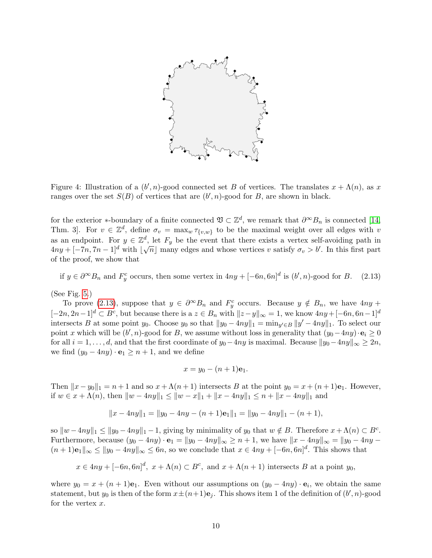

<span id="page-9-1"></span>Figure 4: Illustration of a  $(b', n)$ -good connected set B of vertices. The translates  $x + \Lambda(n)$ , as x ranges over the set  $S(B)$  of vertices that are  $(b', n)$ -good for B, are shown in black.

for the exterior \*-boundary of a finite connected  $\mathfrak{V} \subset \mathbb{Z}^d$ , we remark that  $\partial^{\infty}B_n$  is connected [\[14,](#page-27-6) Thm. 3. For  $v \in \mathbb{Z}^d$ , define  $\sigma_v = \max_w \tau_{\{v,w\}}$  to be the maximal weight over all edges with v as an endpoint. For  $y \in \mathbb{Z}^d$ , let  $F_y$  be the event that there exists a vertex self-avoiding path in  $4ny + [-7n, 7n-1]^d$  with  $\lfloor \sqrt{n} \rfloor$  many edges and whose vertices v satisfy  $\sigma_v > b'$ . In this first part of the proof, we show that

<span id="page-9-0"></span>if  $y \in \partial^{\infty} B_n$  and  $F_y^c$  occurs, then some vertex in  $4ny + [-6n, 6n]^d$  is  $(b', n)$ -good for B. (2.13)

(See Fig. [5.](#page-10-0))

To prove [\(2.13\)](#page-9-0), suppose that  $y \in \partial^{\infty}B_n$  and  $F_y^c$  occurs. Because  $y \notin B_n$ , we have  $4ny +$  $[-2n, 2n-1]^d \subset B^c$ , but because there is a  $z \in B_n$  with  $||z-y||_{\infty} = 1$ , we know  $4ny + [-6n, 6n-1]^d$ intersects B at some point y<sub>0</sub>. Choose y<sub>0</sub> so that  $||y_0 - 4ny||_1 = \min_{y' \in B} ||y' - 4ny||_1$ . To select our point x which will be  $(b', n)$ -good for B, we assume without loss in generality that  $(y_0 - 4ny) \cdot \mathbf{e}_i \ge 0$ for all  $i = 1, \ldots, d$ , and that the first coordinate of  $y_0 - 4ny$  is maximal. Because  $||y_0 - 4ny||_{\infty} \ge 2n$ , we find  $(y_0 - 4ny) \cdot \mathbf{e}_1 \ge n+1$ , and we define

$$
x=y_0-(n+1)\mathbf{e}_1.
$$

Then  $||x - y_0||_1 = n + 1$  and so  $x + \Lambda(n + 1)$  intersects B at the point  $y_0 = x + (n + 1)e_1$ . However, if  $w \in x + \Lambda(n)$ , then  $||w - 4ny||_1 \le ||w - x||_1 + ||x - 4ny||_1 \le n + ||x - 4ny||_1$  and

$$
||x - 4ny||_1 = ||y_0 - 4ny - (n+1)e_1||_1 = ||y_0 - 4ny||_1 - (n+1),
$$

so  $\|w - 4ny\|_1 \le \|y_0 - 4ny\|_1 - 1$ , giving by minimality of  $y_0$  that  $w \notin B$ . Therefore  $x + \Lambda(n) \subset B^c$ . Furthermore, because  $(y_0 - 4ny) \cdot \mathbf{e}_1 = ||y_0 - 4ny||_{\infty} \ge n + 1$ , we have  $||x - 4ny||_{\infty} = ||y_0 - 4ny - 4|$  $(n+1)\mathbf{e}_1\|_{\infty} \leq \|y_0 - 4ny\|_{\infty} \leq 6n$ , so we conclude that  $x \in 4ny + [-6n, 6n]^d$ . This shows that

$$
x \in 4ny + [-6n, 6n]^d
$$
,  $x + \Lambda(n) \subset B^c$ , and  $x + \Lambda(n + 1)$  intersects B at a point  $y_0$ ,

where  $y_0 = x + (n + 1)e_1$ . Even without our assumptions on  $(y_0 - 4ny) \cdot e_i$ , we obtain the same statement, but  $y_0$  is then of the form  $x \pm (n+1)\mathbf{e}_j$ . This shows item 1 of the definition of  $(b', n)$ -good for the vertex  $x$ .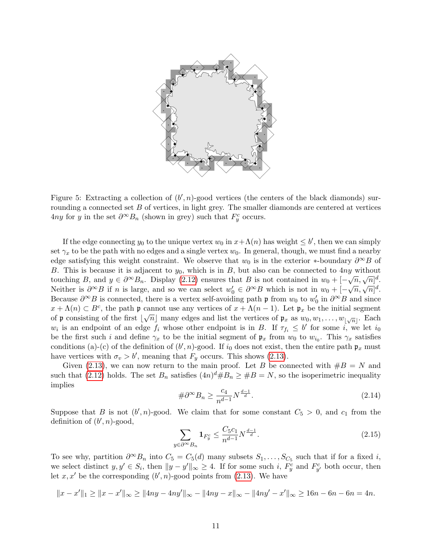

<span id="page-10-0"></span>Figure 5: Extracting a collection of  $(b', n)$ -good vertices (the centers of the black diamonds) surrounding a connected set  $B$  of vertices, in light grey. The smaller diamonds are centered at vertices 4ny for y in the set  $\partial^{\infty}B_n$  (shown in grey) such that  $F_y^c$  occurs.

If the edge connecting  $y_0$  to the unique vertex  $w_0$  in  $x + \Lambda(n)$  has weight  $\leq b'$ , then we can simply set  $\gamma_x$  to be the path with no edges and a single vertex  $w_0$ . In general, though, we must find a nearby edge satisfying this weight constraint. We observe that  $w_0$  is in the exterior ∗-boundary  $\partial^\infty B$  of B. This is because it is adjacent to  $y_0$ , which is in B, but also can be connected to  $4ny$  without touching B, and  $y \in \partial^{\infty} B_n$ . Display [\(2.12\)](#page-8-1) ensures that B is not contained in  $w_0 + [-\sqrt{n}, \sqrt{n}]^d$ . Neither is  $\partial^{\infty}B$  if n is large, and so we can select  $w'_0 \in \partial^{\infty}B$  which is not in  $w_0 + [-\sqrt{n}, \sqrt{n}]^d$ . Because  $\partial^{\infty}B$  is connected, there is a vertex self-avoiding path  $\mathfrak{p}$  from  $w_0$  to  $w'_0$  in  $\partial^{\infty}B$  and since  $x + \Lambda(n) \subset B^c$ , the path p cannot use any vertices of  $x + \Lambda(n-1)$ . Let  $\mathfrak{p}_x$  be the initial segment of  $\mathfrak p$  consisting of the first  $\lfloor \sqrt{n} \rfloor$  many edges and list the vertices of  $\mathfrak p_x$  as  $w_0, w_1, \ldots, w_{|\sqrt{n}|}$ . Each  $w_i$  is an endpoint of an edge  $f_i$  whose other endpoint is in B. If  $\tau_{f_i} \leq b'$  for some i, we let  $i_0$ be the first such i and define  $\gamma_x$  to be the initial segment of  $\mathfrak{p}_x$  from  $w_0$  to  $w_{i_0}$ . This  $\gamma_x$  satisfies conditions (a)-(c) of the definition of  $(b', n)$ -good. If  $i_0$  does not exist, then the entire path  $\mathfrak{p}_x$  must have vertices with  $\sigma_v > b'$ , meaning that  $F_y$  occurs. This shows [\(2.13\)](#page-9-0).

Given [\(2.13\)](#page-9-0), we can now return to the main proof. Let B be connected with  $\#B = N$  and such that [\(2.12\)](#page-8-1) holds. The set  $B_n$  satisfies  $(4n)^d \# B_n \geq \# B = N$ , so the isoperimetric inequality implies

<span id="page-10-2"></span>
$$
\#\partial^{\infty}B_n \ge \frac{c_4}{n^{d-1}}N^{\frac{d-1}{d}}.\tag{2.14}
$$

Suppose that B is not  $(b', n)$ -good. We claim that for some constant  $C_5 > 0$ , and  $c_1$  from the definition of  $(b', n)$ -good,

<span id="page-10-1"></span>
$$
\sum_{y \in \partial^{\infty} B_n} \mathbf{1}_{F_y^c} \le \frac{C_5 c_1}{n^{d-1}} N^{\frac{d-1}{d}}.
$$
\n(2.15)

To see why, partition  $\partial^{\infty}B_n$  into  $C_5 = C_5(d)$  many subsets  $S_1, \ldots, S_{C_5}$  such that if for a fixed i, we select distinct  $y, y' \in S_i$ , then  $||y - y'||_{\infty} \ge 4$ . If for some such i,  $F_y^c$  and  $F_{y'}^c$  both occur, then let  $x, x'$  be the corresponding  $(b', n)$ -good points from [\(2.13\)](#page-9-0). We have

$$
||x - x'||_1 \ge ||x - x'||_{\infty} \ge ||4ny - 4ny'||_{\infty} - ||4ny - x||_{\infty} - ||4ny' - x'||_{\infty} \ge 16n - 6n - 6n = 4n.
$$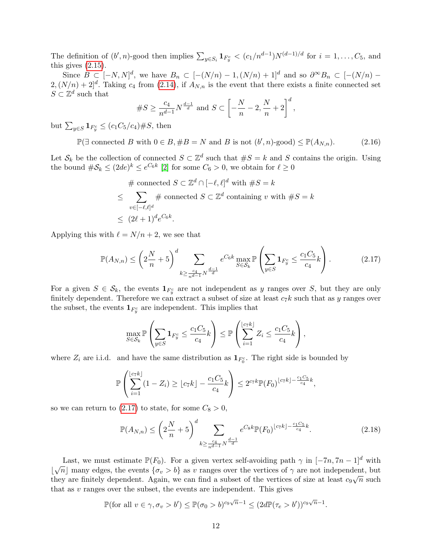The definition of  $(b', n)$ -good then implies  $\sum_{y \in S_i} \mathbf{1}_{F_y^c} < (c_1/n^{d-1})N^{(d-1)/d}$  for  $i = 1, \ldots, C_5$ , and this gives  $(2.15)$ .

Since  $B \subset [-N, N]^d$ , we have  $B_n \subset [-(N/n) - 1, (N/n) + 1]^d$  and so  $\partial^{\infty}B_n \subset [-(N/n) 2, (N/n) + 2]^d$ . Taking  $c_4$  from [\(2.14\)](#page-10-2), if  $A_{N,n}$  is the event that there exists a finite connected set  $S \subset \mathbb{Z}^d$  such that

$$
\#S \ge \frac{c_4}{n^{d-1}} N^{\frac{d-1}{d}} \text{ and } S \subset \left[ -\frac{N}{n} - 2, \frac{N}{n} + 2 \right]^d,
$$

but  $\sum_{y \in S} \mathbf{1}_{F_y^c} \le (c_1 C_5/c_4) \# S$ , then

<span id="page-11-2"></span> $\mathbb{P}(\exists \text{ connected } B \text{ with } 0 \in B, \#B = N \text{ and } B \text{ is not } (b', n)\text{-good}) \leq \mathbb{P}(A_{N,n}).$  (2.16)

Let  $\mathcal{S}_k$  be the collection of connected  $S \subset \mathbb{Z}^d$  such that  $\#S = k$  and S contains the origin. Using the bound  $\#\mathcal{S}_k \leq (2de)^k \leq e^{C_6k}$  [\[2\]](#page-26-2) for some  $C_6 > 0$ , we obtain for  $\ell \geq 0$ 

$$
\# \text{ connected } S \subset \mathbb{Z}^d \cap [-\ell, \ell]^d \text{ with } \#S = k
$$
\n
$$
\leq \sum_{v \in [-\ell, \ell]^d} \# \text{ connected } S \subset \mathbb{Z}^d \text{ containing } v \text{ with } \#S = k
$$
\n
$$
\leq (2\ell + 1)^d e^{C_6 k}.
$$

Applying this with  $\ell = N/n + 2$ , we see that

<span id="page-11-0"></span>
$$
\mathbb{P}(A_{N,n}) \le \left(2\frac{N}{n} + 5\right)^d \sum_{k \ge \frac{c_4}{n^{d-1}}N^{\frac{d-1}{d}}} e^{C_6 k} \max_{S \in \mathcal{S}_k} \mathbb{P}\left(\sum_{y \in S} \mathbf{1}_{F_y^c} \le \frac{c_1 C_5}{c_4} k\right). \tag{2.17}
$$

For a given  $S \in \mathcal{S}_k$ , the events  $\mathbf{1}_{F_y^c}$  are not independent as y ranges over S, but they are only finitely dependent. Therefore we can extract a subset of size at least  $c_7k$  such that as y ranges over the subset, the events  $\mathbf{1}_{F_y^c}$  are independent. This implies that

$$
\max_{S \in \mathcal{S}_k} \mathbb{P}\left(\sum_{y \in S} \mathbf{1}_{F_y^c} \le \frac{c_1 C_5}{c_4} k\right) \le \mathbb{P}\left(\sum_{i=1}^{\lfloor c_7 k \rfloor} Z_i \le \frac{c_1 C_5}{c_4} k\right),\,
$$

where  $Z_i$  are i.i.d. and have the same distribution as  $\mathbf{1}_{F_0^c}$ . The right side is bounded by

$$
\mathbb{P}\left(\sum_{i=1}^{\lfloor c_7k \rfloor} (1-Z_i) \geq \lfloor c_7k \rfloor - \frac{c_1C_5}{c_4}k\right) \leq 2^{c_7k} \mathbb{P}(F_0)^{\lfloor c_7k \rfloor - \frac{c_1C_5}{c_4}k},
$$

so we can return to [\(2.17\)](#page-11-0) to state, for some  $C_8 > 0$ ,

<span id="page-11-1"></span>
$$
\mathbb{P}(A_{N,n}) \le \left(2\frac{N}{n} + 5\right)^d \sum_{k \ge \frac{c_4}{n^{d-1}}N^{\frac{d-1}{d}}} e^{C_8 k} \mathbb{P}(F_0)^{\lfloor c_7 k \rfloor - \frac{c_1 C_5}{c_4} k}.
$$
\n(2.18)

Last, we must estimate  $\mathbb{P}(F_0)$ . For a given vertex self-avoiding path  $\gamma$  in  $[-7n, 7n-1]^d$  with Last, we must estimate  $\mathbb{F}(v_0)$ . For a given vertex sen-avoiding path  $\gamma$  in  $[-m, m-1]$  with  $[\sqrt{n}]$  many edges, the events  $\{\sigma_v > b\}$  as v ranges over the vertices of  $\gamma$  are not independent, but they are finitely dependent. Again, we can find a subset of the vertices of size at least  $c_9\sqrt{n}$  such that as  $v$  ranges over the subset, the events are independent. This gives

$$
\mathbb{P}(\text{for all } v \in \gamma, \sigma_v > b') \leq \mathbb{P}(\sigma_0 > b)^{c_9\sqrt{n}-1} \leq (2d\mathbb{P}(\tau_e > b'))^{c_9\sqrt{n}-1}.
$$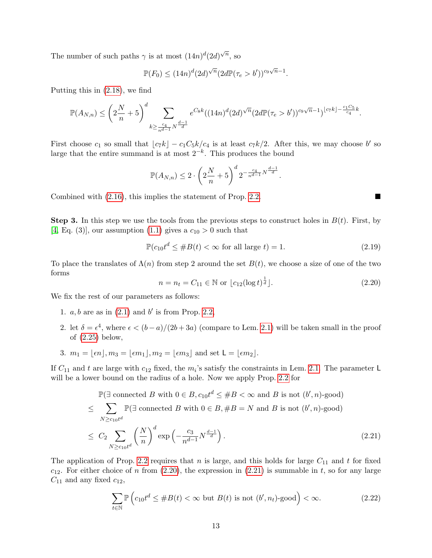The number of such paths  $\gamma$  is at most  $(14n)^d(2d)^{\sqrt{n}}$ , so

$$
\mathbb{P}(F_0) \le (14n)^d (2d)^{\sqrt{n}} (2d \mathbb{P}(\tau_e > b'))^{c_9\sqrt{n}-1}.
$$

Putting this in [\(2.18\)](#page-11-1), we find

$$
\mathbb{P}(A_{N,n}) \le \left(2\frac{N}{n} + 5\right)^d \sum_{k \ge \frac{c_4}{n^{d-1}}N^{\frac{d-1}{d}}} e^{C_8k} ((14n)^d (2d)^{\sqrt{n}} (2d\mathbb{P}(\tau_e > b'))^{c_9\sqrt{n}-1})^{\lfloor c_7 k \rfloor - \frac{c_1C_5}{c_4}k}.
$$

First choose  $c_1$  so small that  $\lfloor c_7k \rfloor - c_1C_5k/c_4$  is at least  $c_7k/2$ . After this, we may choose b' so large that the entire summand is at most  $2^{-k}$ . This produces the bound

$$
\mathbb{P}(A_{N,n}) \leq 2 \cdot \left(2\frac{N}{n} + 5\right)^d 2^{-\frac{c_4}{n^{d-1}}N^{\frac{d-1}{d}}}.
$$

Combined with  $(2.16)$ , this implies the statement of Prop. [2.2.](#page-8-2)

**Step 3.** In this step we use the tools from the previous steps to construct holes in  $B(t)$ . First, by [\[4,](#page-26-3) Eq. (3)], our assumption [\(1.1\)](#page-1-0) gives a  $c_{10} > 0$  such that

<span id="page-12-3"></span>
$$
\mathbb{P}(c_{10}t^d \le \#B(t) < \infty \text{ for all large } t) = 1. \tag{2.19}
$$

To place the translates of  $\Lambda(n)$  from step 2 around the set  $B(t)$ , we choose a size of one of the two forms

<span id="page-12-0"></span>
$$
n = n_t = C_{11} \in \mathbb{N} \text{ or } \lfloor c_{12} (\log t)^{\frac{1}{d}} \rfloor. \tag{2.20}
$$

We fix the rest of our parameters as follows:

- 1.  $a, b$  are as in  $(2.1)$  and  $b'$  is from Prop. [2.2,](#page-8-2)
- 2. let  $\delta = \epsilon^4$ , where  $\epsilon < (b-a)/(2b+3a)$  (compare to Lem. [2.1\)](#page-4-2) will be taken small in the proof of [\(2.25\)](#page-14-0) below,
- 3.  $m_1 = |\epsilon n|, m_3 = |\epsilon m_1|, m_2 = |\epsilon m_3|$  and set  $\mathsf{L} = |\epsilon m_2|$ .

If  $C_{11}$  and t are large with  $c_{12}$  fixed, the  $m_i$ 's satisfy the constraints in Lem. [2.1.](#page-4-2) The parameter L will be a lower bound on the radius of a hole. Now we apply Prop. [2.2](#page-8-2) for

$$
\mathbb{P}(\exists \text{ connected } B \text{ with } 0 \in B, c_{10}t^d \le \#B < \infty \text{ and } B \text{ is not } (b', n)\text{-good})
$$
\n
$$
\le \sum_{N \ge c_{10}t^d} \mathbb{P}(\exists \text{ connected } B \text{ with } 0 \in B, \#B = N \text{ and } B \text{ is not } (b', n)\text{-good})
$$
\n
$$
\le C_2 \sum_{N \ge c_{10}t^d} \left(\frac{N}{n}\right)^d \exp\left(-\frac{c_3}{n^{d-1}} N^{\frac{d-1}{d}}\right). \tag{2.21}
$$

The application of Prop. [2.2](#page-8-2) requires that n is large, and this holds for large  $C_{11}$  and t for fixed  $c_{12}$ . For either choice of n from [\(2.20\)](#page-12-0), the expression in [\(2.21\)](#page-12-1) is summable in t, so for any large  $C_{11}$  and any fixed  $c_{12}$ ,

<span id="page-12-2"></span>
$$
\sum_{t \in \mathbb{N}} \mathbb{P}\left(c_{10}t^d \le \#B(t) < \infty \text{ but } B(t) \text{ is not } (b', n_t)\text{-good}\right) < \infty. \tag{2.22}
$$

<span id="page-12-1"></span>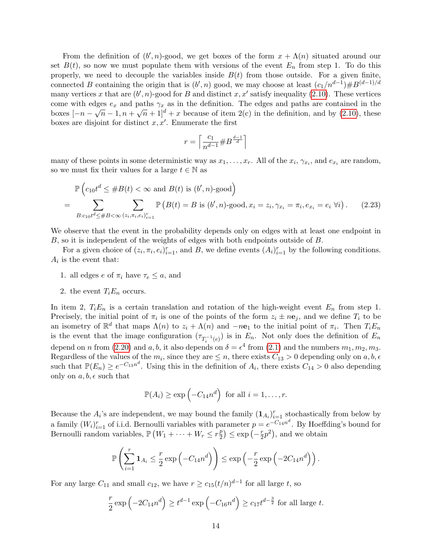From the definition of  $(b', n)$ -good, we get boxes of the form  $x + \Lambda(n)$  situated around our set  $B(t)$ , so now we must populate them with versions of the event  $E_n$  from step 1. To do this properly, we need to decouple the variables inside  $B(t)$  from those outside. For a given finite, connected B containing the origin that is  $(b', n)$  good, we may choose at least  $(c_1/n^{d-1}) \# B^{(d-1)/d}$ many vertices x that are  $(b', n)$ -good for B and distinct x, x' satisfy inequality [\(2.10\)](#page-8-3). These vertices come with edges  $e_x$  and paths  $\gamma_x$  as in the definition. The edges and paths are contained in the boxes  $[-n-\sqrt{n}-1,n+\sqrt{n}+1]^d+x$  because of item 2(c) in the definition, and by [\(2.10\)](#page-8-3), these boxes are disjoint for distinct  $x, x'$ . Enumerate the first

<span id="page-13-0"></span>
$$
r=\left\lceil\frac{c_1}{n^{d-1}}\# B^{\frac{d-1}{d}}\right\rceil
$$

many of these points in some deterministic way as  $x_1, \ldots, x_r$ . All of the  $x_i, \gamma_{x_i}$ , and  $e_{x_i}$  are random, so we must fix their values for a large  $t \in \mathbb{N}$  as

$$
\mathbb{P}\left(c_{10}t^d \leq \#B(t) < \infty \text{ and } B(t) \text{ is } (b', n)\text{-good}\right)
$$
\n
$$
= \sum_{B:c_{10}t^d \leq \#B < \infty} \sum_{(z_i, \pi_i, e_i)_{i=1}^r} \mathbb{P}\left(B(t) = B \text{ is } (b', n)\text{-good}, x_i = z_i, \gamma_{x_i} = \pi_i, e_{x_i} = e_i \,\forall i\right). \tag{2.23}
$$

We observe that the event in the probability depends only on edges with at least one endpoint in B, so it is independent of the weights of edges with both endpoints outside of B.

For a given choice of  $(z_i, \pi_i, e_i)_{i=1}^r$ , and B, we define events  $(A_i)_{i=1}^r$  by the following conditions.  $A_i$  is the event that:

- 1. all edges e of  $\pi_i$  have  $\tau_e \leq a$ , and
- 2. the event  $T_iE_n$  occurs.

In item 2,  $T_iE_n$  is a certain translation and rotation of the high-weight event  $E_n$  from step 1. Precisely, the initial point of  $\pi_i$  is one of the points of the form  $z_i \pm n\mathbf{e}_j$ , and we define  $T_i$  to be an isometry of  $\mathbb{R}^d$  that maps  $\Lambda(n)$  to  $z_i + \Lambda(n)$  and  $-n\mathbf{e}_1$  to the initial point of  $\pi_i$ . Then  $T_i E_n$ is the event that the image configuration  $(\tau_{T_i^{-1}(e)})$  is in  $E_n$ . Not only does the definition of  $E_n$ depend on *n* from [\(2.20\)](#page-12-0) and a, b, it also depends on  $\delta = \epsilon^4$  from [\(2.1\)](#page-4-1) and the numbers  $m_1, m_2, m_3$ . Regardless of the values of the  $m_i$ , since they are  $\leq n$ , there exists  $C_{13} > 0$  depending only on  $a, b, \epsilon$ such that  $\mathbb{P}(E_n) \geq e^{-C_{13}n^d}$ . Using this in the definition of  $A_i$ , there exists  $C_{14} > 0$  also depending only on  $a, b, \epsilon$  such that

$$
\mathbb{P}(A_i) \ge \exp\left(-C_{14}n^d\right) \text{ for all } i = 1, \dots, r.
$$

Because the  $A_i$ 's are independent, we may bound the family  $(\mathbf{1}_{A_i})_{i=1}^r$  stochastically from below by a family  $(W_i)_{i=1}^r$  of i.i.d. Bernoulli variables with parameter  $p = e^{-C_{14}n^d}$ . By Hoeffding's bound for Bernoulli random variables,  $\mathbb{P}(W_1 + \cdots + W_r \leq r_{\overline{2}}^p)$  $(\frac{p}{2}) \leq \exp(-\frac{r}{2})$  $(\frac{r}{2}p^2)$ , and we obtain

$$
\mathbb{P}\left(\sum_{i=1}^r \mathbf{1}_{A_i} \leq \frac{r}{2} \exp\left(-C_{14}n^d\right)\right) \leq \exp\left(-\frac{r}{2} \exp\left(-2C_{14}n^d\right)\right).
$$

For any large  $C_{11}$  and small  $c_{12}$ , we have  $r \ge c_{15}(t/n)^{d-1}$  for all large t, so

$$
\frac{r}{2}\exp\left(-2C_{14}n^d\right) \ge t^{d-1}\exp\left(-C_{16}n^d\right) \ge c_{17}t^{d-\frac{3}{2}} \text{ for all large } t.
$$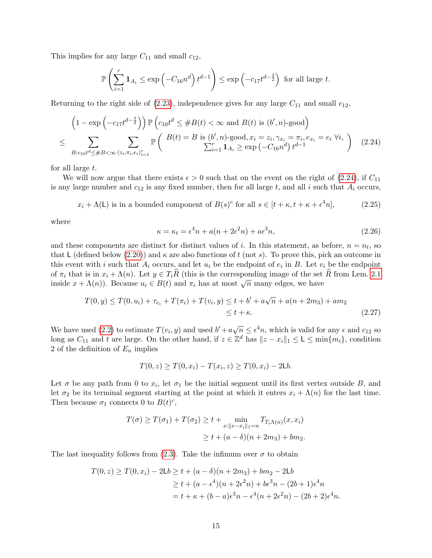This implies for any large  $C_{11}$  and small  $c_{12}$ ,

$$
\mathbb{P}\left(\sum_{i=1}^r \mathbf{1}_{A_i} \le \exp\left(-C_{16}n^d\right)t^{d-1}\right) \le \exp\left(-c_{17}t^{d-\frac{3}{2}}\right) \text{ for all large } t.
$$

Returning to the right side of  $(2.23)$ , independence gives for any large  $C_{11}$  and small  $c_{12}$ ,

$$
\left(1 - \exp\left(-c_{17}t^{d - \frac{3}{2}}\right)\right) \mathbb{P}\left(c_{10}t^{d} \leq \# B(t) < \infty \text{ and } B(t) \text{ is } (b', n)\text{-good}\right)
$$
\n
$$
\leq \sum_{B:c_{10}t^{d} \leq \# B < \infty} \sum_{(z_i, \pi_i, e_i)_{i=1}^r} \mathbb{P}\left(\frac{B(t) = B \text{ is } (b', n)\text{-good}, x_i = z_i, \gamma_{x_i} = \pi_i, e_{x_i} = e_i \,\forall i, \,}{\sum_{i=1}^r 1_{A_i} \geq \exp\left(-C_{16}n^d\right)t^{d-1}}\right) \tag{2.24}
$$

for all large t.

We will now argue that there exists  $\epsilon > 0$  such that on the event on the right of [\(2.24\)](#page-14-1), if  $C_{11}$ is any large number and  $c_{12}$  is any fixed number, then for all large t, and all i such that  $A_i$  occurs,

<span id="page-14-0"></span>
$$
x_i + \Lambda(L)
$$
 is in a bounded component of  $B(s)^c$  for all  $s \in [t + \kappa, t + \kappa + \epsilon^4 n]$ , (2.25)

where

<span id="page-14-2"></span><span id="page-14-1"></span>
$$
\kappa = \kappa_t = \epsilon^4 n + a(n + 2\epsilon^2 n) + a\epsilon^3 n, \tag{2.26}
$$

and these components are distinct for distinct values of i. In this statement, as before,  $n = n_t$ , so that L (defined below [\(2.20\)](#page-12-0)) and  $\kappa$  are also functions of t (not s). To prove this, pick an outcome in this event with i such that  $A_i$  occurs, and let  $u_i$  be the endpoint of  $e_i$  in B. Let  $v_i$  be the endpoint of  $\pi_i$  that is in  $x_i + \Lambda(n)$ . Let  $y \in T_i\hat{R}$  (this is the corresponding image of the set  $\hat{R}$  from Lem. [2.1](#page-4-2) or  $n_i$  that is in  $x_i + \Lambda(n)$ . Let  $y \in T_i$ . (this is the corresponding mage of the set inside  $x + \Lambda(n)$ ). Because  $u_i \in B(t)$  and  $\pi_i$  has at most  $\sqrt{n}$  many edges, we have

$$
T(0, y) \le T(0, u_i) + \tau_{e_i} + T(\pi_i) + T(v_i, y) \le t + b' + a\sqrt{n} + a(n + 2m_3) + am_2
$$
  
\$\le t + \kappa\$. (2.27)

We have used [\(2.2\)](#page-5-1) to estimate  $T(v_i, y)$  and used  $b' + a\sqrt{n} \leq \epsilon^4 n$ , which is valid for any  $\epsilon$  and  $c_{12}$  so long as  $C_{11}$  and t are large. On the other hand, if  $z \in \mathbb{Z}^d$  has  $||z - x_i||_1 \leq \mathsf{L} \leq \min\{m_i\}$ , condition 2 of the definition of  $E_n$  implies

$$
T(0, z) \geq T(0, x_i) - T(x_i, z) \geq T(0, x_i) - 2\mathsf{L}b.
$$

Let  $\sigma$  be any path from 0 to  $x_i$ , let  $\sigma_1$  be the initial segment until its first vertex outside B, and let  $\sigma_2$  be its terminal segment starting at the point at which it enters  $x_i + \Lambda(n)$  for the last time. Then because  $\sigma_1$  connects 0 to  $B(t)^c$ ,

$$
T(\sigma) \ge T(\sigma_1) + T(\sigma_2) \ge t + \min_{x: ||x - x_i||_1 = n} T_{T_i \Lambda(n)}(x, x_i)
$$
  
 
$$
\ge t + (a - \delta)(n + 2m_3) + bm_2.
$$

The last inequality follows from [\(2.3\)](#page-5-2). Take the infimum over  $\sigma$  to obtain

$$
T(0, z) \ge T(0, x_i) - 2Lb \ge t + (a - \delta)(n + 2m_3) + bm_2 - 2Lb
$$
  
 
$$
\ge t + (a - \epsilon^4)(n + 2\epsilon^2 n) + b\epsilon^3 n - (2b + 1)\epsilon^4 n
$$
  

$$
= t + \kappa + (b - a)\epsilon^3 n - \epsilon^4(n + 2\epsilon^2 n) - (2b + 2)\epsilon^4 n.
$$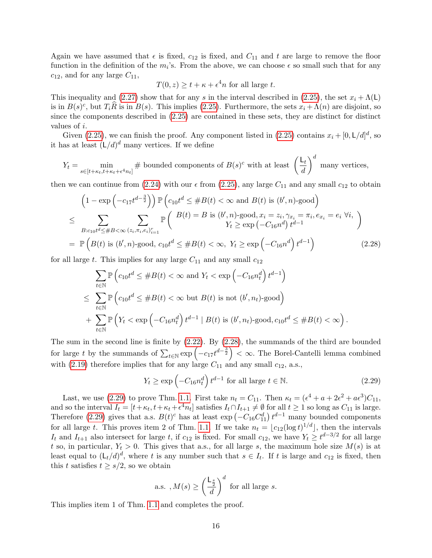Again we have assumed that  $\epsilon$  is fixed,  $c_{12}$  is fixed, and  $C_{11}$  and t are large to remove the floor function in the definition of the  $m_i$ 's. From the above, we can choose  $\epsilon$  so small such that for any  $c_{12}$ , and for any large  $C_{11}$ ,

<span id="page-15-0"></span>
$$
T(0, z) \ge t + \kappa + \epsilon^4 n
$$
 for all large t.

This inequality and [\(2.27\)](#page-14-2) show that for any s in the interval described in [\(2.25\)](#page-14-0), the set  $x_i + \Lambda(L)$ is in  $B(s)^c$ , but  $T_i\hat{R}$  is in  $B(s)$ . This implies [\(2.25\)](#page-14-0). Furthermore, the sets  $x_i + \Lambda(n)$  are disjoint, so since the components described in [\(2.25\)](#page-14-0) are contained in these sets, they are distinct for distinct values of i.

Given [\(2.25\)](#page-14-0), we can finish the proof. Any component listed in (2.25) contains  $x_i + [0, L/d]^d$ , so it has at least  $(L/d)^d$  many vertices. If we define

$$
Y_t = \min_{s \in [t + \kappa_t, t + \kappa_t + \epsilon^4 n_t]} \# \text{ bounded components of } B(s)^c \text{ with at least } \left(\frac{L_t}{d}\right)^d \text{ many vertices,}
$$

then we can continue from  $(2.24)$  with our  $\epsilon$  from  $(2.25)$ , any large  $C_{11}$  and any small  $c_{12}$  to obtain

$$
\left(1 - \exp\left(-c_{17}t^{d-\frac{3}{2}}\right)\right) \mathbb{P}\left(c_{10}t^{d} \leq \#B(t) < \infty \text{ and } B(t) \text{ is } (b', n)\text{-good}\right)
$$
\n
$$
\leq \sum_{B:c_{10}t^{d} \leq \#B < \infty} \sum_{(z_i, \pi_i, e_i)_{i=1}^r} \mathbb{P}\left(\begin{array}{c} B(t) = B \text{ is } (b', n)\text{-good}, x_i = z_i, \gamma_{x_i} = \pi_i, e_{x_i} = e_i \ \forall i, \\ Y_t \geq \exp\left(-C_{16}n^d\right)t^{d-1} \end{array}\right)
$$
\n
$$
= \mathbb{P}\left(B(t) \text{ is } (b', n)\text{-good}, c_{10}t^d \leq \#B(t) < \infty, Y_t \geq \exp\left(-C_{16}n^d\right)t^{d-1}\right) \tag{2.28}
$$

for all large t. This implies for any large  $C_{11}$  and any small  $c_{12}$ 

$$
\sum_{t \in \mathbb{N}} \mathbb{P}\left(c_{10}t^d \leq \#B(t) < \infty \text{ and } Y_t < \exp\left(-C_{16}n_t^d\right)t^{d-1}\right)
$$
\n
$$
\leq \sum_{t \in \mathbb{N}} \mathbb{P}\left(c_{10}t^d \leq \#B(t) < \infty \text{ but } B(t) \text{ is not } (b', n_t)\text{-good}\right)
$$
\n
$$
+ \sum_{t \in \mathbb{N}} \mathbb{P}\left(Y_t < \exp\left(-C_{16}n_t^d\right)t^{d-1} \mid B(t) \text{ is } (b', n_t)\text{-good}, c_{10}t^d \leq \#B(t) < \infty\right).
$$

The sum in the second line is finite by [\(2.22\)](#page-12-2). By [\(2.28\)](#page-15-0), the summands of the third are bounded for large t by the summands of  $\sum_{t\in\mathbb{N}} \exp\left(-c_1\tau^{d-\frac{3}{2}}\right) < \infty$ . The Borel-Cantelli lemma combined with [\(2.19\)](#page-12-3) therefore implies that for any large  $C_{11}$  and any small  $c_{12}$ , a.s.,

<span id="page-15-1"></span>
$$
Y_t \ge \exp\left(-C_{16}n_t^d\right)t^{d-1} \text{ for all large } t \in \mathbb{N}.\tag{2.29}
$$

Last, we use [\(2.29\)](#page-15-1) to prove Thm. [1.1.](#page-2-0) First take  $n_t = C_{11}$ . Then  $\kappa_t = (\epsilon^4 + a + 2\epsilon^2 + a\epsilon^3)C_{11}$ , and so the interval  $I_t = [t + \kappa_t, t + \kappa_t + \epsilon^4 n_t]$  satisfies  $I_t \cap I_{t+1} \neq \emptyset$  for all  $t \geq 1$  so long as  $C_{11}$  is large. Therefore [\(2.29\)](#page-15-1) gives that a.s.  $B(t)^c$  has at least  $\exp(-C_{16}C_{11}^d) t^{d-1}$  many bounded components for all large t. This proves item 2 of Thm. [1.1.](#page-2-0) If we take  $n_t = \lfloor c_{12}(\log t)^{1/d} \rfloor$ , then the intervals  $I_t$  and  $I_{t+1}$  also intersect for large t, if  $c_{12}$  is fixed. For small  $c_{12}$ , we have  $Y_t \geq t^{d-3/2}$  for all large t so, in particular,  $Y_t > 0$ . This gives that a.s., for all large s, the maximum hole size  $M(s)$  is at least equal to  $(L_t/d)^d$ , where t is any number such that  $s \in I_t$ . If t is large and  $c_{12}$  is fixed, then this t satisfies  $t \geq s/2$ , so we obtain

a.s. , 
$$
M(s) \ge \left(\frac{\mathsf{L}_{\frac{s}{2}}}{d}\right)^d
$$
 for all large s.

This implies item 1 of Thm. [1.1](#page-2-0) and completes the proof.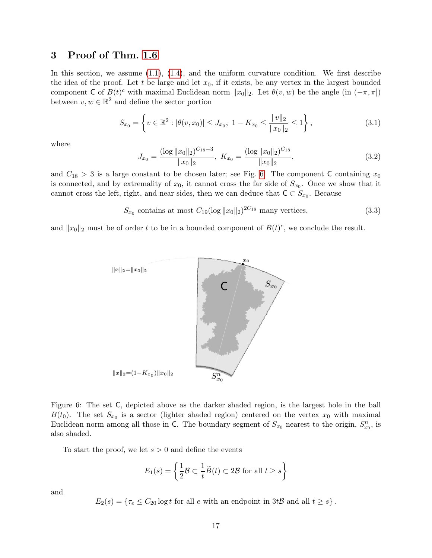# <span id="page-16-0"></span>3 Proof of Thm. [1.6](#page-3-1)

In this section, we assume  $(1.1)$ ,  $(1.4)$ , and the uniform curvature condition. We first describe the idea of the proof. Let t be large and let  $x_0$ , if it exists, be any vertex in the largest bounded component C of  $B(t)^c$  with maximal Euclidean norm  $||x_0||_2$ . Let  $\theta(v, w)$  be the angle (in  $(-\pi, \pi]$ ) between  $v, w \in \mathbb{R}^2$  and define the sector portion

<span id="page-16-2"></span>
$$
S_{x_0} = \left\{ v \in \mathbb{R}^2 : |\theta(v, x_0)| \le J_{x_0}, \ 1 - K_{x_0} \le \frac{\|v\|_2}{\|x_0\|_2} \le 1 \right\},\tag{3.1}
$$

where

<span id="page-16-3"></span>
$$
J_{x_0} = \frac{(\log ||x_0||_2)^{C_{18}-3}}{||x_0||_2}, \ K_{x_0} = \frac{(\log ||x_0||_2)^{C_{18}}}{||x_0||_2}, \tag{3.2}
$$

and  $C_{18} > 3$  is a large constant to be chosen later; see Fig. [6.](#page-16-1) The component C containing  $x_0$ is connected, and by extremality of  $x_0$ , it cannot cross the far side of  $S_{x_0}$ . Once we show that it cannot cross the left, right, and near sides, then we can deduce that  $C \subset S_{x_0}$ . Because

<span id="page-16-4"></span>
$$
S_{x_0} \text{ contains at most } C_{19} (\log ||x_0||_2)^{2C_{18}} \text{ many vertices,}
$$
\n(3.3)

and  $||x_0||_2$  must be of order t to be in a bounded component of  $B(t)^c$ , we conclude the result.



<span id="page-16-1"></span>Figure 6: The set C, depicted above as the darker shaded region, is the largest hole in the ball  $B(t_0)$ . The set  $S_{x_0}$  is a sector (lighter shaded region) centered on the vertex  $x_0$  with maximal Euclidean norm among all those in C. The boundary segment of  $S_{x_0}$  nearest to the origin,  $S_{x_0}^n$ , is also shaded.

To start the proof, we let  $s > 0$  and define the events

$$
E_1(s) = \left\{ \frac{1}{2} \mathcal{B} \subset \frac{1}{t} \widetilde{B}(t) \subset 2\mathcal{B} \text{ for all } t \ge s \right\}
$$

and

 $E_2(s) = \{ \tau_e \le C_{20} \log t \text{ for all } e \text{ with an endpoint in } 3t\mathcal{B} \text{ and all } t \ge s \}.$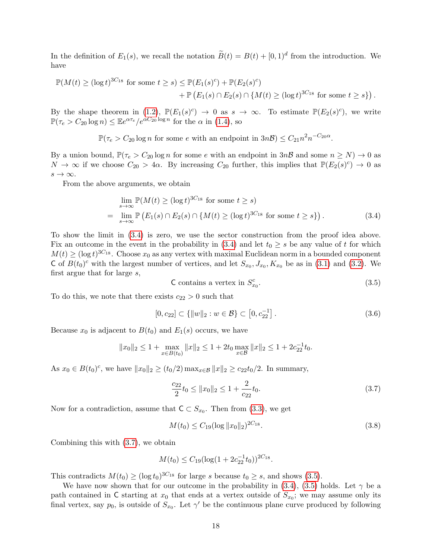In the definition of  $E_1(s)$ , we recall the notation  $\widetilde{B}(t) = B(t) + [0, 1]^d$  from the introduction. We have

$$
\mathbb{P}(M(t) \ge (\log t)^{3C_{18}} \text{ for some } t \ge s) \le \mathbb{P}(E_1(s)^c) + \mathbb{P}(E_2(s)^c) + \mathbb{P}(E_1(s) \cap E_2(s) \cap \{M(t) \ge (\log t)^{3C_{18}} \text{ for some } t \ge s\}).
$$

By the shape theorem in [\(1.2\)](#page-1-2),  $\mathbb{P}(E_1(s)^c) \to 0$  as  $s \to \infty$ . To estimate  $\mathbb{P}(E_2(s)^c)$ , we write  $\mathbb{P}(\tau_e > C_{20} \log n) \leq \mathbb{E}e^{\alpha \tau_e}/e^{\alpha C_{20} \log n}$  for the  $\alpha$  in [\(1.4\)](#page-3-0), so

 $\mathbb{P}(\tau_e > C_{20} \log n$  for some e with an endpoint in  $3n\mathcal{B}) \leq C_{21} n^2 n^{-C_{20}\alpha}$ .

By a union bound,  $\mathbb{P}(\tau_e > C_{20} \log n$  for some e with an endpoint in  $3n\mathcal{B}$  and some  $n \geq N$ )  $\rightarrow 0$  as  $N \to \infty$  if we choose  $C_{20} > 4\alpha$ . By increasing  $C_{20}$  further, this implies that  $\mathbb{P}(E_2(s)^c) \to 0$  as  $s \to \infty$ .

From the above arguments, we obtain

$$
\lim_{s \to \infty} \mathbb{P}(M(t) \ge (\log t)^{3C_{18}} \text{ for some } t \ge s)
$$
\n
$$
= \lim_{s \to \infty} \mathbb{P}\left(E_1(s) \cap E_2(s) \cap \{M(t) \ge (\log t)^{3C_{18}} \text{ for some } t \ge s\}\right).
$$
\n(3.4)

To show the limit in [\(3.4\)](#page-17-0) is zero, we use the sector construction from the proof idea above. Fix an outcome in the event in the probability in [\(3.4\)](#page-17-0) and let  $t_0 \geq s$  be any value of t for which  $M(t) \geq (\log t)^{3C_{18}}$ . Choose  $x_0$  as any vertex with maximal Euclidean norm in a bounded component C of  $B(t_0)^c$  with the largest number of vertices, and let  $S_{x_0}, J_{x_0}, K_{x_0}$  be as in [\(3.1\)](#page-16-2) and [\(3.2\)](#page-16-3). We first argue that for large s,

<span id="page-17-2"></span><span id="page-17-0"></span>
$$
C contains a vertex in S_{x_0}^c.
$$
\n(3.5)

To do this, we note that there exists  $c_{22} > 0$  such that

<span id="page-17-4"></span>
$$
[0, c_{22}] \subset \{ ||w||_2 : w \in \mathcal{B} \} \subset [0, c_{22}^{-1}]. \tag{3.6}
$$

Because  $x_0$  is adjacent to  $B(t_0)$  and  $E_1(s)$  occurs, we have

$$
||x_0||_2 \le 1 + \max_{x \in B(t_0)} ||x||_2 \le 1 + 2t_0 \max_{x \in \mathcal{B}} ||x||_2 \le 1 + 2c_{22}^{-1}t_0.
$$

As  $x_0 \in B(t_0)^c$ , we have  $||x_0||_2 \ge (t_0/2) \max_{x \in B} ||x||_2 \ge c_{22}t_0/2$ . In summary,

<span id="page-17-1"></span>
$$
\frac{c_{22}}{2}t_0 \le ||x_0||_2 \le 1 + \frac{2}{c_{22}}t_0. \tag{3.7}
$$

Now for a contradiction, assume that  $C \subset S_{x_0}$ . Then from [\(3.3\)](#page-16-4), we get

<span id="page-17-3"></span>
$$
M(t_0) \le C_{19} (\log ||x_0||_2)^{2C_{18}}.\t(3.8)
$$

Combining this with [\(3.7\)](#page-17-1), we obtain

$$
M(t_0) \le C_{19} (\log(1 + 2c_{22}^{-1} t_0))^{2C_{18}}.
$$

This contradicts  $M(t_0) \geq (\log t_0)^{3C_{18}}$  for large s because  $t_0 \geq s$ , and shows [\(3.5\)](#page-17-2).

We have now shown that for our outcome in the probability in  $(3.4)$ ,  $(3.5)$  holds. Let  $\gamma$  be a path contained in C starting at  $x_0$  that ends at a vertex outside of  $S_{x_0}$ ; we may assume only its final vertex, say  $p_0$ , is outside of  $S_{x_0}$ . Let  $\gamma'$  be the continuous plane curve produced by following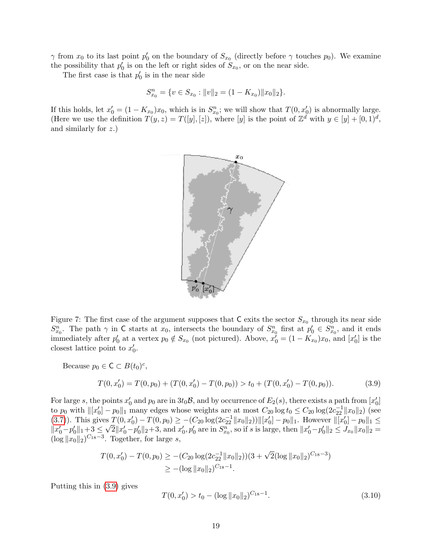$\gamma$  from  $x_0$  to its last point  $p'_0$  on the boundary of  $S_{x_0}$  (directly before  $\gamma$  touches  $p_0$ ). We examine the possibility that  $p'_0$  is on the left or right sides of  $S_{x_0}$ , or on the near side.

The first case is that  $p'_0$  is in the near side

$$
S_{x_0}^n = \{ v \in S_{x_0} : ||v||_2 = (1 - K_{x_0}) ||x_0||_2 \}.
$$

If this holds, let  $x'_0 = (1 - K_{x_0})x_0$ , which is in  $S_{x_0}^n$ ; we will show that  $T(0, x'_0)$  is abnormally large. (Here we use the definition  $T(y, z) = T([y], [z])$ , where [y] is the point of  $\mathbb{Z}^d$  with  $y \in [y] + [0, 1]^d$ , and similarly for z.)



Figure 7: The first case of the argument supposes that  $C$  exits the sector  $S_{x_0}$  through its near side  $S_{x_0}^n$ . The path  $\gamma$  in C starts at  $x_0$ , intersects the boundary of  $S_{x_0}^n$  first at  $p'_0 \in S_{x_0}^n$ , and it ends immediately after  $p'_0$  at a vertex  $p_0 \notin S_{x_0}$  (not pictured). Above,  $x'_0 = (1 - K_{x_0})x_0$ , and  $[x'_0]$  is the closest lattice point to  $x'_0$ .

Because  $p_0 \in \mathsf{C} \subset B(t_0)^c$ ,

<span id="page-18-0"></span>
$$
T(0, x'_0) = T(0, p_0) + (T(0, x'_0) - T(0, p_0)) > t_0 + (T(0, x'_0) - T(0, p_0)).
$$
\n(3.9)

For large s, the points  $x'_0$  and  $p_0$  are in  $3t_0\mathcal{B}$ , and by occurrence of  $E_2(s)$ , there exists a path from  $[x'_0]$ to  $p_0$  with  $\| [x'_0] - p_0 \|_1$  many edges whose weights are at most  $C_{20} \log t_0 \leq C_{20} \log(2c_{22}^{-1} \| x_0 \|_2)$  (see [\(3.7\)](#page-17-1)). This gives  $T(0, x_0') - T(0, p_0) \ge -(C_{20} \log(2c_{22}^{-1} ||x_0||_2)) ||[x_0'] - p_0||_1$ . However  $||[x_0'] - p_0||_1 \le$  $\lVert x'_0 - p'_0 \rVert_1 + 3 \leq$ √  $\overline{2}||x'_0 - p'_0||_2 + 3$ , and  $x'_0, p'_0$  are in  $S_{x_0}^n$ , so if s is large, then  $||x'_0 - p'_0||_2 \leq J_{x_0}||x_0||_2 =$  $(\log ||x_0||_2)^{C_{18}-3}$ . Together, for large s,

$$
T(0, x'_0) - T(0, p_0) \ge -(C_{20} \log(2c_{22}^{-1} ||x_0||_2)) (3 + \sqrt{2}(\log ||x_0||_2)^{C_{18} - 3})
$$
  
 
$$
\ge -(\log ||x_0||_2)^{C_{18} - 1}.
$$

Putting this in [\(3.9\)](#page-18-0) gives

<span id="page-18-1"></span>
$$
T(0, x_0') > t_0 - (\log ||x_0||_2)^{C_{18}-1}.
$$
\n(3.10)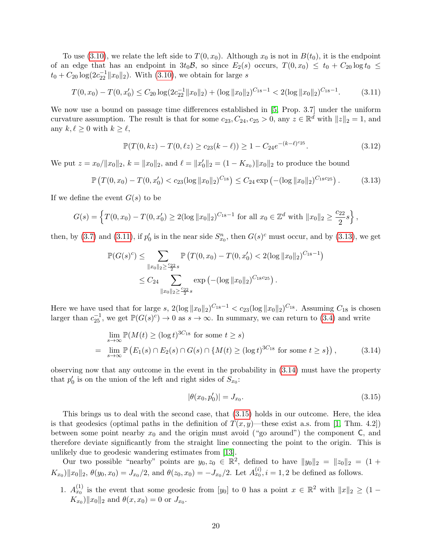To use [\(3.10\)](#page-18-1), we relate the left side to  $T(0, x_0)$ . Although  $x_0$  is not in  $B(t_0)$ , it is the endpoint of an edge that has an endpoint in  $3t_0\mathcal{B}$ , so since  $E_2(s)$  occurs,  $T(0, x_0) \le t_0 + C_{20} \log t_0 \le$  $t_0 + C_{20} \log(2c_{22}^{-1} ||x_0||_2)$ . With [\(3.10\)](#page-18-1), we obtain for large s

<span id="page-19-1"></span>
$$
T(0, x_0) - T(0, x'_0) \le C_{20} \log(2c_{22}^{-1} \|x_0\|_2) + (\log \|x_0\|_2)^{C_{18} - 1} < 2(\log \|x_0\|_2)^{C_{18} - 1}.\tag{3.11}
$$

We now use a bound on passage time differences established in [\[5,](#page-27-1) Prop. 3.7] under the uniform curvature assumption. The result is that for some  $c_{23}, C_{24}, c_{25} > 0$ , any  $z \in \mathbb{R}^{\mathcal{d}}$  with  $||z||_2 = 1$ , and any  $k, \ell \geq 0$  with  $k \geq \ell$ ,

<span id="page-19-4"></span>
$$
\mathbb{P}(T(0,kz) - T(0,\ell z) \ge c_{23}(k-\ell)) \ge 1 - C_{24}e^{-(k-\ell)^{c_{25}}}.
$$
\n(3.12)

We put  $z = x_0 / ||x_0||_2$ ,  $k = ||x_0||_2$ , and  $\ell = ||x'_0||_2 = (1 - K_{x_0}) ||x_0||_2$  to produce the bound

<span id="page-19-2"></span>
$$
\mathbb{P}\left(T(0,x_0) - T(0,x'_0) < c_{23}(\log \|x_0\|_2)^{C_{18}}\right) \leq C_{24} \exp\left(-(\log \|x_0\|_2)^{C_{18}c_{25}}\right). \tag{3.13}
$$

If we define the event  $G(s)$  to be

$$
G(s) = \left\{ T(0, x_0) - T(0, x'_0) \ge 2(\log ||x_0||_2)^{C_{18}-1} \text{ for all } x_0 \in \mathbb{Z}^d \text{ with } ||x_0||_2 \ge \frac{c_{22}}{2}s \right\},\
$$

then, by [\(3.7\)](#page-17-1) and [\(3.11\)](#page-19-1), if  $p'_0$  is in the near side  $S_{x_0}^n$ , then  $G(s)^c$  must occur, and by [\(3.13\)](#page-19-2), we get

$$
\mathbb{P}(G(s)^c) \leq \sum_{\|x_0\|_2 \geq \frac{c_{22}}{2}s} \mathbb{P}\left(T(0, x_0) - T(0, x'_0) < 2(\log \|x_0\|_2)^{C_{18}-1}\right)
$$
\n
$$
\leq C_{24} \sum_{\|x_0\|_2 \geq \frac{c_{22}}{2}s} \exp\left(-(\log \|x_0\|_2)^{C_{18}c_{25}}\right).
$$

Here we have used that for large s,  $2(\log ||x_0||_2)^{C_{18}-1} < c_{23}(\log ||x_0||_2)^{C_{18}}$ . Assuming  $C_{18}$  is chosen larger than  $c_{25}^{-1}$ , we get  $\mathbb{P}(G(s)^c) \to 0$  as  $s \to \infty$ . In summary, we can return to [\(3.4\)](#page-17-0) and write

$$
\lim_{s \to \infty} \mathbb{P}(M(t) \ge (\log t)^{3C_{18}} \text{ for some } t \ge s)
$$
\n
$$
= \lim_{s \to \infty} \mathbb{P}\left(E_1(s) \cap E_2(s) \cap G(s) \cap \{M(t) \ge (\log t)^{3C_{18}} \text{ for some } t \ge s\}\right),\tag{3.14}
$$

observing now that any outcome in the event in the probability in [\(3.14\)](#page-19-3) must have the property that  $p'_0$  is on the union of the left and right sides of  $S_{x_0}$ :

<span id="page-19-3"></span><span id="page-19-0"></span>
$$
|\theta(x_0, p'_0)| = J_{x_0}.\tag{3.15}
$$

This brings us to deal with the second case, that [\(3.15\)](#page-19-0) holds in our outcome. Here, the idea is that geodesics (optimal paths in the definition of  $T(x, y)$ —these exist a.s. from [\[1,](#page-26-0) Thm. 4.2]) between some point nearby  $x_0$  and the origin must avoid ("go around") the component  $C$ , and therefore deviate significantly from the straight line connecting the point to the origin. This is unlikely due to geodesic wandering estimates from [\[13\]](#page-27-7).

Our two possible "nearby" points are  $y_0, z_0 \in \mathbb{R}^2$ , defined to have  $||y_0||_2 = ||z_0||_2 = (1 +$  $K_{x_0}$ )|| $x_0$ || $_2$ ,  $\theta(y_0, x_0) = J_{x_0}/2$ , and  $\theta(z_0, x_0) = -J_{x_0}/2$ . Let  $A_{x_0}^{(i)}$ ,  $i = 1, 2$  be defined as follows.

1.  $A_{x_0}^{(1)}$  is the event that some geodesic from  $[y_0]$  to 0 has a point  $x \in \mathbb{R}^2$  with  $||x||_2 \geq (1 K_{x_0}$ ) || $x_0$ ||<sub>2</sub> and  $\theta(x, x_0) = 0$  or  $J_{x_0}$ .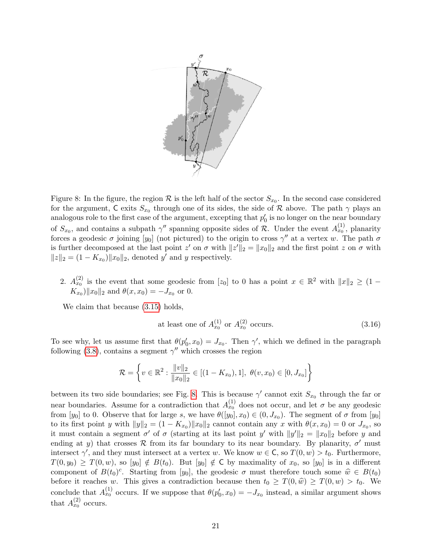

<span id="page-20-0"></span>Figure 8: In the figure, the region  $\mathcal R$  is the left half of the sector  $S_{x_0}$ . In the second case considered for the argument, C exits  $S_{x_0}$  through one of its sides, the side of R above. The path  $\gamma$  plays an analogous role to the first case of the argument, excepting that  $p'_0$  is no longer on the near boundary of  $S_{x_0}$ , and contains a subpath  $\gamma''$  spanning opposite sides of R. Under the event  $A_{x_0}^{(1)}$ , planarity forces a geodesic  $\sigma$  joining  $[y_0]$  (not pictured) to the origin to cross  $\gamma''$  at a vertex w. The path  $\sigma$ is further decomposed at the last point  $z'$  on  $\sigma$  with  $||z'||_2 = ||x_0||_2$  and the first point  $z$  on  $\sigma$  with  $||z||_2 = (1 - K_{x_0}) ||x_0||_2$ , denoted y' and y respectively.

2.  $A_{x_0}^{(2)}$  is the event that some geodesic from [z<sub>0</sub>] to 0 has a point  $x \in \mathbb{R}^2$  with  $||x||_2 \geq (1 K_{x_0}$ || $x_0$ ||<sub>2</sub> and  $\theta(x, x_0) = -J_{x_0}$  or 0.

We claim that because  $(3.15)$  holds,

<span id="page-20-1"></span>at least one of 
$$
A_{x_0}^{(1)}
$$
 or  $A_{x_0}^{(2)}$  occurs. (3.16)

To see why, let us assume first that  $\theta(p'_0, x_0) = J_{x_0}$ . Then  $\gamma'$ , which we defined in the paragraph following [\(3.8\)](#page-17-3), contains a segment  $\gamma''$  which crosses the region

$$
\mathcal{R} = \left\{ v \in \mathbb{R}^2 : \frac{\|v\|_2}{\|x_0\|_2} \in [(1 - K_{x_0}), 1], \ \theta(v, x_0) \in [0, J_{x_0}] \right\}
$$

between its two side boundaries; see Fig. [8.](#page-20-0) This is because  $\gamma'$  cannot exit  $S_{x_0}$  through the far or near boundaries. Assume for a contradiction that  $A_{x_0}^{(1)}$  does not occur, and let  $\sigma$  be any geodesic from [y<sub>0</sub>] to 0. Observe that for large s, we have  $\theta([y_0], x_0) \in (0, J_{x_0})$ . The segment of  $\sigma$  from [y<sub>0</sub>] to its first point y with  $||y||_2 = (1 - K_{x_0}) ||x_0||_2$  cannot contain any x with  $\theta(x, x_0) = 0$  or  $J_{x_0}$ , so it must contain a segment  $\sigma'$  of  $\sigma$  (starting at its last point y' with  $||y'||_2 = ||x_0||_2$  before y and ending at y) that crosses R from its far boundary to its near boundary. By planarity,  $\sigma'$  must intersect  $\gamma'$ , and they must intersect at a vertex w. We know  $w \in \mathsf{C}$ , so  $T(0, w) > t_0$ . Furthermore,  $T(0, y_0) \geq T(0, w)$ , so  $[y_0] \notin B(t_0)$ . But  $[y_0] \notin C$  by maximality of  $x_0$ , so  $[y_0]$  is in a different component of  $B(t_0)^c$ . Starting from [y<sub>0</sub>], the geodesic  $\sigma$  must therefore touch some  $\hat{w} \in B(t_0)$ before it reaches w. This gives a contradiction because then  $t_0 \geq T(0, \hat{w}) \geq T(0, w) > t_0$ . We conclude that  $A_{x_0}^{(1)}$  occurs. If we suppose that  $\theta(p'_0, x_0) = -J_{x_0}$  instead, a similar argument shows that  $A_{x_0}^{(2)}$  occurs.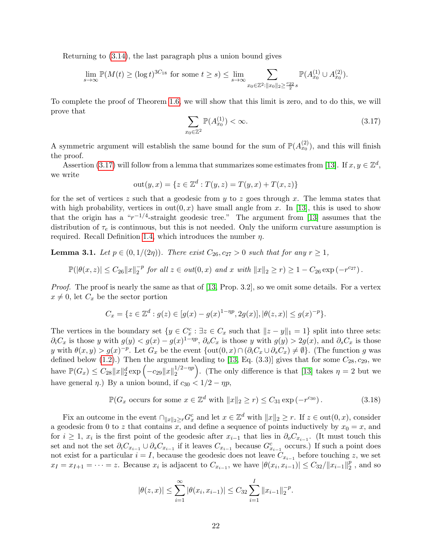Returning to [\(3.14\)](#page-19-3), the last paragraph plus a union bound gives

$$
\lim_{s \to \infty} \mathbb{P}(M(t) \ge (\log t)^{3C_{18}} \text{ for some } t \ge s) \le \lim_{s \to \infty} \sum_{x_0 \in \mathbb{Z}^2 : ||x_0||_2 \ge \frac{c_{22}}{2} s} \mathbb{P}(A_{x_0}^{(1)} \cup A_{x_0}^{(2)}).
$$

To complete the proof of Theorem [1.6,](#page-3-1) we will show that this limit is zero, and to do this, we will prove that

<span id="page-21-0"></span>
$$
\sum_{x_0 \in \mathbb{Z}^2} \mathbb{P}(A_{x_0}^{(1)}) < \infty. \tag{3.17}
$$

A symmetric argument will establish the same bound for the sum of  $\mathbb{P}(A_{x_0}^{(2)})$ , and this will finish the proof.

Assertion [\(3.17\)](#page-21-0) will follow from a lemma that summarizes some estimates from [\[13\]](#page-27-7). If  $x, y \in \mathbb{Z}^d$ , we write

out
$$
(y, x) = \{z \in \mathbb{Z}^d : T(y, z) = T(y, x) + T(x, z)\}\
$$

for the set of vertices z such that a geodesic from  $y$  to z goes through x. The lemma states that with high probability, vertices in  $out(0, x)$  have small angle from x. In [\[13\]](#page-27-7), this is used to show that the origin has a " $r^{-1/4}$ -straight geodesic tree." The argument from [\[13\]](#page-27-7) assumes that the distribution of  $\tau_e$  is continuous, but this is not needed. Only the uniform curvature assumption is required. Recall Definition [1.4,](#page-3-3) which introduces the number  $\eta$ .

<span id="page-21-2"></span>**Lemma 3.1.** Let  $p \in (0, 1/(2\eta))$ . There exist  $C_{26}$ ,  $c_{27} > 0$  such that for any  $r \ge 1$ ,

$$
\mathbb{P}(|\theta(x,z)| \leq C_{26} ||x||_2^{-p} \text{ for all } z \in out(0,x) \text{ and } x \text{ with } ||x||_2 \geq r) \geq 1 - C_{26} \exp(-r^{c_{27}}).
$$

Proof. The proof is nearly the same as that of [\[13,](#page-27-7) Prop. 3.2], so we omit some details. For a vertex  $x \neq 0$ , let  $C_x$  be the sector portion

$$
C_x = \{ z \in \mathbb{Z}^d : g(z) \in [g(x) - g(x)^{1 - \eta p}, 2g(x)], |\theta(z, x)| \le g(x)^{-p} \}.
$$

The vertices in the boundary set  $\{y \in C_x^c : \exists z \in C_x \text{ such that } ||z - y||_1 = 1\}$  split into three sets:  $\partial_iC_x$  is those y with  $g(y) < g(x) - g(x)^{1-\eta p}, \partial_oC_x$  is those y with  $g(y) > 2g(x)$ , and  $\partial_sC_x$  is those y with  $\theta(x,y) > g(x)^{-p}$ . Let  $G_x$  be the event  $\{\text{out}(0,x) \cap (\partial_i C_x \cup \partial_s C_x) \neq \emptyset\}$ . (The function g was defined below [\(1.2\)](#page-1-2).) Then the argument leading to [\[13,](#page-27-7) Eq.  $(3.3)$ ] gives that for some  $C_{28}, c_{29}$ , we have  $\mathbb{P}(G_x) \leq C_{28} ||x||_2^d \exp \left(-c_{29} ||x||_2^{1/2 - np}\right)$  $\binom{1}{2}$ . (The only difference is that [\[13\]](#page-27-7) takes  $\eta = 2$  but we have general  $\eta$ .) By a union bound, if  $c_{30} < 1/2 - \eta p$ ,

<span id="page-21-1"></span>
$$
\mathbb{P}(G_x \text{ occurs for some } x \in \mathbb{Z}^d \text{ with } ||x||_2 \ge r) \le C_{31} \exp\left(-r^{c_{30}}\right). \tag{3.18}
$$

Fix an outcome in the event  $\bigcap_{\|x\|_2\geq r} G_x^c$  and let  $x \in \mathbb{Z}^d$  with  $\|x\|_2 \geq r$ . If  $z \in \text{out}(0, x)$ , consider a geodesic from 0 to z that contains x, and define a sequence of points inductively by  $x_0 = x$ , and for  $i \geq 1$ ,  $x_i$  is the first point of the geodesic after  $x_{i-1}$  that lies in  $\partial_0 C_{x_{i-1}}$ . (It must touch this set and not the set  $\partial_i C_{x_{i-1}} \cup \partial_s C_{x_{i-1}}$  if it leaves  $C_{x_{i-1}}$  because  $G_{x_{i-1}}^c$  occurs.) If such a point does not exist for a particular  $i = I$ , because the geodesic does not leave  $C_{x_{i-1}}$  before touching z, we set  $x_I = x_{I+1} = \cdots = z.$  Because  $x_i$  is adjacent to  $C_{x_{i-1}}$ , we have  $|\theta(x_i, x_{i-1})| \leq C_{32}/||x_{i-1}||_2^p$  $\frac{p}{2}$ , and so

$$
|\theta(z,x)| \leq \sum_{i=1}^{\infty} |\theta(x_i,x_{i-1})| \leq C_{32} \sum_{i=1}^{I} ||x_{i-1}||_2^{-p}.
$$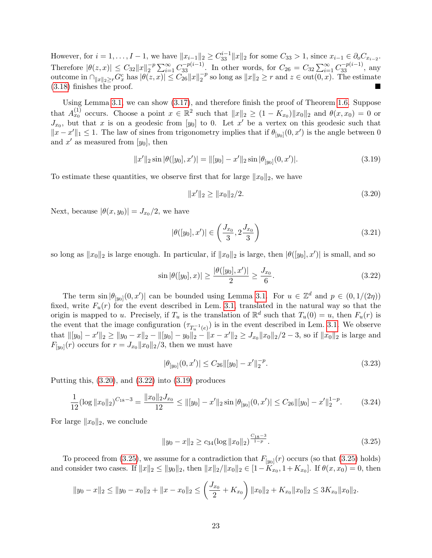However, for  $i = 1, ..., I - 1$ , we have  $||x_{i-1}||_2 \geq C_{33}^{i-1} ||x||_2$  for some  $C_{33} > 1$ , since  $x_{i-1} \in \partial_o C_{x_{i-2}}$ . Therefore  $|\theta(z,x)| \leq C_{32} ||x||_2^{-p}$  $\sum_{i=1}^{-p} \sum_{i=1}^{\infty} C_{33}^{-p(i-1)}$ . In other words, for  $C_{26} = C_{32} \sum_{i=1}^{\infty} C_{33}^{-p(i-1)}$ , any outcome in  $\cap_{\|x\|_2\geq r} G_x^c$  has  $|\theta(z, x)| \leq C_{26} \|x\|_2^{-p}$  $2^{-p}$  so long as  $||x||_2 \ge r$  and  $z \in \text{out}(0, x)$ . The estimate [\(3.18\)](#page-21-1) finishes the proof.

Using Lemma [3.1,](#page-21-2) we can show [\(3.17\)](#page-21-0), and therefore finish the proof of Theorem [1.6.](#page-3-1) Suppose that  $A_{x_0}^{(1)}$  occurs. Choose a point  $x \in \mathbb{R}^2$  such that  $||x||_2 \geq (1 - K_{x_0}) ||x_0||_2$  and  $\theta(x, x_0) = 0$  or  $J_{x_0}$ , but that x is on a geodesic from [y<sub>0</sub>] to 0. Let x' be a vertex on this geodesic such that  $||x - x'||_1 \leq 1$ . The law of sines from trigonometry implies that if  $\theta_{[y_0]}(0, x')$  is the angle between 0 and  $x'$  as measured from  $[y_0]$ , then

<span id="page-22-2"></span>
$$
||x'||_2 \sin |\theta([y_0], x')| = ||[y_0] - x'||_2 \sin |\theta_{[y_0]}(0, x')|.
$$
\n(3.19)

To estimate these quantities, we observe first that for large  $||x_0||_2$ , we have

<span id="page-22-0"></span>
$$
||x'||_2 \ge ||x_0||_2/2. \tag{3.20}
$$

Next, because  $|\theta(x, y_0)| = J_{x_0}/2$ , we have

<span id="page-22-4"></span>
$$
|\theta([y_0], x')| \in \left(\frac{J_{x_0}}{3}, 2\frac{J_{x_0}}{3}\right) \tag{3.21}
$$

so long as  $||x_0||_2$  is large enough. In particular, if  $||x_0||_2$  is large, then  $|\theta([y_0], x')|$  is small, and so

<span id="page-22-1"></span>
$$
\sin |\theta([y_0], x)| \ge \frac{|\theta([y_0], x')|}{2} \ge \frac{J_{x_0}}{6}.
$$
\n(3.22)

The term  $\sin |\theta_{[y_0]}(0, x')|$  can be bounded using Lemma [3.1.](#page-21-2) For  $u \in \mathbb{Z}^d$  and  $p \in (0, 1/(2\eta))$ fixed, write  $F_u(r)$  for the event described in Lem. [3.1,](#page-21-2) translated in the natural way so that the origin is mapped to u. Precisely, if  $T_u$  is the translation of  $\mathbb{R}^d$  such that  $T_u(0) = u$ , then  $F_u(r)$  is the event that the image configuration  $(\tau_{T_u^{-1}(e)})$  is in the event described in Lem. [3.1.](#page-21-2) We observe that  $\| [y_0] - x' \|_2 \ge \| y_0 - x \|_2 - \| [y_0] - y_0 \|_2 - \| x - x' \|_2 \ge J_{x_0} \| x_0 \|_2 / 2 - 3$ , so if  $\| x_0 \|_2$  is large and  $F_{[y_0]}(r)$  occurs for  $r = J_{x_0} ||x_0||_2/3$ , then we must have

<span id="page-22-5"></span>
$$
|\theta_{[y_0]}(0, x')| \le C_{26} ||[y_0] - x'||_2^{-p}.
$$
\n(3.23)

Putting this,  $(3.20)$ , and  $(3.22)$  into  $(3.19)$  produces

<span id="page-22-6"></span>
$$
\frac{1}{12}(\log \|x_0\|_2)^{C_{18}-3} = \frac{\|x_0\|_2 J_{x_0}}{12} \le \|[y_0] - x'\|_2 \sin |\theta_{[y_0]}(0, x')| \le C_{26} \|[y_0] - x'\|_2^{1-p}.\tag{3.24}
$$

For large  $||x_0||_2$ , we conclude

<span id="page-22-3"></span>
$$
||y_0 - x||_2 \ge c_{34} (\log ||x_0||_2)^{\frac{C_{18}-3}{1-p}}.
$$
\n(3.25)

To proceed from [\(3.25\)](#page-22-3), we assume for a contradiction that  $F_{[y_0]}(r)$  occurs (so that (3.25) holds) and consider two cases. If  $||x||_2 \le ||y_0||_2$ , then  $||x||_2/||x_0||_2 \in [1 - K_{x_0}, 1 + K_{x_0}]$ . If  $\theta(x, x_0) = 0$ , then

$$
||y_0 - x||_2 \le ||y_0 - x_0||_2 + ||x - x_0||_2 \le \left(\frac{J_{x_0}}{2} + K_{x_0}\right) ||x_0||_2 + K_{x_0} ||x_0||_2 \le 3K_{x_0} ||x_0||_2.
$$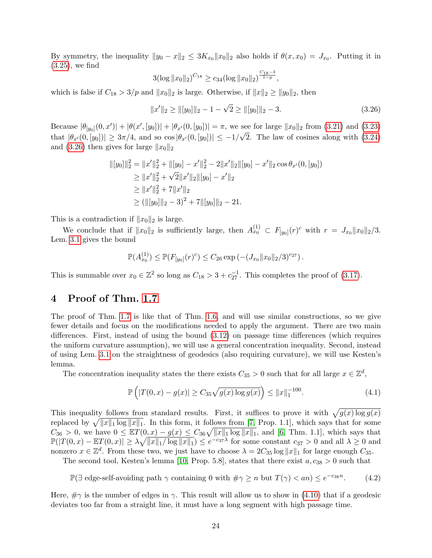By symmetry, the inequality  $||y_0 - x||_2 \le 3K_{x_0}||x_0||_2$  also holds if  $\theta(x, x_0) = J_{x_0}$ . Putting it in [\(3.25\)](#page-22-3), we find

$$
3(\log \|x_0\|_2)^{C_{18}} \ge c_{34}(\log \|x_0\|_2)^{\frac{C_{18}-3}{1-p}},
$$

which is false if  $C_{18} > 3/p$  and  $||x_0||_2$  is large. Otherwise, if  $||x||_2 \ge ||y_0||_2$ , then

<span id="page-23-1"></span>
$$
||x'||_2 \ge ||[y_0]||_2 - 1 - \sqrt{2} \ge ||[y_0]||_2 - 3.
$$
\n(3.26)

Because  $|\theta_{[y_0]}(0, x')| + |\theta(x', [y_0])| + |\theta_{x'}(0, [y_0])| = \pi$ , we see for large  $||x_0||_2$  from [\(3.21\)](#page-22-4) and [\(3.23\)](#page-22-5) that  $|\theta_{x}(0,[y_0])| \geq 3\pi/4$ , and so  $\cos |\theta_{x}(0,[y_0])| \leq -1/\sqrt{2}$ . The law of cosines along with  $(3.24)$ and [\(3.26\)](#page-23-1) then gives for large  $||x_0||_2$ 

$$
\begin{aligned} ||[y_0]||_2^2 &= ||x'||_2^2 + ||[y_0] - x'||_2^2 - 2||x'||_2||[y_0] - x'||_2 \cos \theta_{x'}(0, [y_0]) \\ &\ge ||x'||_2^2 + \sqrt{2}||x'||_2||[y_0] - x'||_2 \\ &\ge ||x'||_2^2 + 7||x'||_2 \\ &\ge (||[y_0]||_2 - 3)^2 + 7||[y_0]||_2 - 21. \end{aligned}
$$

This is a contradiction if  $||x_0||_2$  is large.

We conclude that if  $||x_0||_2$  is sufficiently large, then  $A_{x_0}^{(1)} \subset F_{[y_0]}(r)^c$  with  $r = J_{x_0}||x_0||_2/3$ . Lem. [3.1](#page-21-2) gives the bound

$$
\mathbb{P}(A_{x_0}^{(1)}) \leq \mathbb{P}(F_{[y_0]}(r)^c) \leq C_{26} \exp(-(J_{x_0}||x_0||_2/3)^{c_{27}}).
$$

This is summable over  $x_0 \in \mathbb{Z}^2$  so long as  $C_{18} > 3 + c_{27}^{-1}$ . This completes the proof of [\(3.17\)](#page-21-0).

## <span id="page-23-0"></span>4 Proof of Thm. [1.7](#page-3-2)

The proof of Thm. [1.7](#page-3-2) is like that of Thm. [1.6,](#page-3-1) and will use similar constructions, so we give fewer details and focus on the modifications needed to apply the argument. There are two main differences. First, instead of using the bound [\(3.12\)](#page-19-4) on passage time differences (which requires the uniform curvature assumption), we will use a general concentration inequality. Second, instead of using Lem. [3.1](#page-21-2) on the straightness of geodesics (also requiring curvature), we will use Kesten's lemma.

The concentration inequality states the there exists  $C_{35} > 0$  such that for all large  $x \in \mathbb{Z}^d$ ,

<span id="page-23-2"></span>
$$
\mathbb{P}\left(|T(0,x) - g(x)| \ge C_{35}\sqrt{g(x)\log g(x)}\right) \le ||x||_1^{-100}.\tag{4.1}
$$

This inequality follows from standard results. First, it suffices to prove it with  $\sqrt{g(x) \log g(x)}$ replaced by  $\sqrt{\|x\|_1 \log \|x\|_1}$ . In this form, it follows from [\[7,](#page-27-8) Prop. 1.1], which says that for some  $C_{36} > 0$ , we have  $0 \leq \mathbb{E}[(0, x) - g(x)] \leq C_{36}\sqrt{\|x\|_1 \log \|x\|_1}$ , and [\[6,](#page-27-9) Thm. 1.1], which says that  $\mathbb{P}(|T(0,x)-\mathbb{E}T(0,x)| \geq \lambda \sqrt{\|x\|_1/\log \|x\|_1} \leq e^{-c_3\tau\lambda}$  for some constant  $c_{37} > 0$  and all  $\lambda \geq 0$  and nonzero  $x \in \mathbb{Z}^d$ . From these two, we just have to choose  $\lambda = 2C_{35} \log ||x||_1$  for large enough  $C_{35}$ .

The second tool, Kesten's lemma [\[10,](#page-27-4) Prop. 5.8], states that there exist  $a, c_{38} > 0$  such that

<span id="page-23-3"></span> $\mathbb{P}(\exists \text{ edge-self-avoiding path } \gamma \text{ containing } 0 \text{ with } \#\gamma \geq n \text{ but } T(\gamma) < an) \leq e^{-c_{38}n}$  $(4.2)$ 

Here,  $\#\gamma$  is the number of edges in  $\gamma$ . This result will allow us to show in [\(4.10\)](#page-26-4) that if a geodesic deviates too far from a straight line, it must have a long segment with high passage time.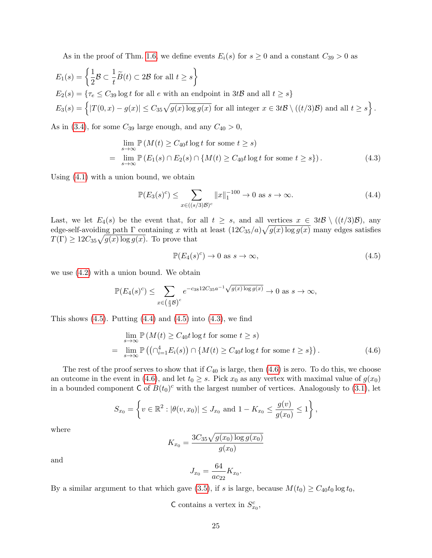As in the proof of Thm. [1.6,](#page-3-1) we define events  $E_i(s)$  for  $s \geq 0$  and a constant  $C_{39} > 0$  as

$$
E_1(s) = \left\{ \frac{1}{2} \mathcal{B} \subset \frac{1}{t} \widetilde{B}(t) \subset 2\mathcal{B} \text{ for all } t \ge s \right\}
$$
  
\n
$$
E_2(s) = \left\{ \tau_e \le C_{39} \log t \text{ for all } e \text{ with an endpoint in } 3t\mathcal{B} \text{ and all } t \ge s \right\}
$$
  
\n
$$
E_3(s) = \left\{ |T(0, x) - g(x)| \le C_{35} \sqrt{g(x) \log g(x)} \text{ for all integer } x \in 3t\mathcal{B} \setminus ((t/3)\mathcal{B}) \text{ and all } t \ge s \right\}.
$$

As in [\(3.4\)](#page-17-0), for some  $C_{39}$  large enough, and any  $C_{40} > 0$ ,

$$
\lim_{s \to \infty} \mathbb{P}(M(t) \ge C_{40}t \log t \text{ for some } t \ge s)
$$
\n
$$
= \lim_{s \to \infty} \mathbb{P}(E_1(s) \cap E_2(s) \cap \{M(t) \ge C_{40}t \log t \text{ for some } t \ge s\}). \tag{4.3}
$$

Using [\(4.1\)](#page-23-2) with a union bound, we obtain

<span id="page-24-1"></span>
$$
\mathbb{P}(E_3(s)^c) \le \sum_{x \in ((s/3)\mathcal{B})^c} \|x\|_1^{-100} \to 0 \text{ as } s \to \infty.
$$
 (4.4)

Last, we let  $E_4(s)$  be the event that, for all  $t \geq s$ , and all vertices  $x \in 3t\mathcal{B} \setminus ((t/3)\mathcal{B})$ , any edge-self-avoiding path  $\Gamma$  containing x with at least  $(12C_{35}/a)\sqrt{g(x)\log g(x)}$  many edges satisfies  $T(\Gamma) \geq 12C_{35}\sqrt{g(x)\log g(x)}$ . To prove that

<span id="page-24-3"></span><span id="page-24-2"></span><span id="page-24-0"></span>
$$
\mathbb{P}(E_4(s)^c) \to 0 \text{ as } s \to \infty,
$$
\n(4.5)

we use [\(4.2\)](#page-23-3) with a union bound. We obtain

$$
\mathbb{P}(E_4(s)^c) \le \sum_{x \in \left(\frac{s}{3}\mathcal{B}\right)^c} e^{-c_{38}12C_{35}a^{-1}\sqrt{g(x)\log g(x)}} \to 0 \text{ as } s \to \infty,
$$

This shows  $(4.5)$ . Putting  $(4.4)$  and  $(4.5)$  into  $(4.3)$ , we find

$$
\lim_{s \to \infty} \mathbb{P}\left(M(t) \ge C_{40} t \log t \text{ for some } t \ge s\right)
$$
\n
$$
= \lim_{s \to \infty} \mathbb{P}\left(\left(\bigcap_{i=1}^4 E_i(s)\right) \cap \{M(t) \ge C_{40} t \log t \text{ for some } t \ge s\}\right). \tag{4.6}
$$

The rest of the proof serves to show that if  $C_{40}$  is large, then  $(4.6)$  is zero. To do this, we choose an outcome in the event in [\(4.6\)](#page-24-3), and let  $t_0 \geq s$ . Pick  $x_0$  as any vertex with maximal value of  $g(x_0)$ in a bounded component  $\mathsf{C}$  of  $B(t_0)^c$  with the largest number of vertices. Analogously to [\(3.1\)](#page-16-2), let

$$
S_{x_0} = \left\{ v \in \mathbb{R}^2 : |\theta(v, x_0)| \leq J_{x_0} \text{ and } 1 - K_{x_0} \leq \frac{g(v)}{g(x_0)} \leq 1 \right\},\
$$

where

$$
K_{x_0} = \frac{3C_{35}\sqrt{g(x_0)\log g(x_0)}}{g(x_0)}
$$

and

$$
J_{x_0} = \frac{64}{ac_{22}} K_{x_0}.
$$

By a similar argument to that which gave [\(3.5\)](#page-17-2), if s is large, because  $M(t_0) \ge C_{40}t_0 \log t_0$ ,

C contains a vertex in  $S_{x_0}^c$ ,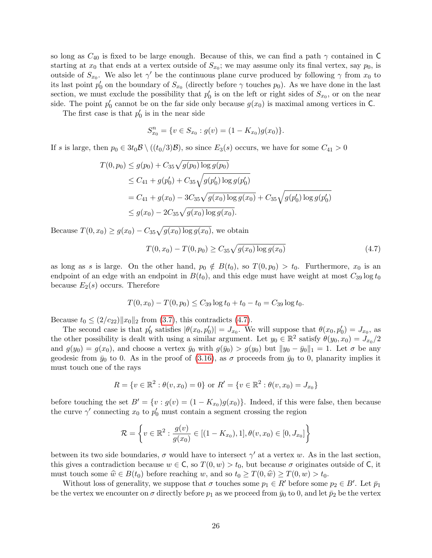so long as  $C_{40}$  is fixed to be large enough. Because of this, we can find a path  $\gamma$  contained in C starting at  $x_0$  that ends at a vertex outside of  $S_{x_0}$ ; we may assume only its final vertex, say  $p_0$ , is outside of  $S_{x_0}$ . We also let  $\gamma'$  be the continuous plane curve produced by following  $\gamma$  from  $x_0$  to its last point  $p'_0$  on the boundary of  $S_{x_0}$  (directly before  $\gamma$  touches  $p_0$ ). As we have done in the last section, we must exclude the possibility that  $p'_0$  is on the left or right sides of  $S_{x_0}$ , or on the near side. The point  $p'_0$  cannot be on the far side only because  $g(x_0)$  is maximal among vertices in C.

The first case is that  $p'_0$  is in the near side

$$
S_{x_0}^n = \{ v \in S_{x_0} : g(v) = (1 - K_{x_0})g(x_0) \}.
$$

If s is large, then  $p_0 \in 3t_0\mathcal{B} \setminus ((t_0/3)\mathcal{B})$ , so since  $E_3(s)$  occurs, we have for some  $C_{41} > 0$ 

$$
T(0, p_0) \le g(p_0) + C_{35} \sqrt{g(p_0) \log g(p_0)}
$$
  
\n
$$
\le C_{41} + g(p'_0) + C_{35} \sqrt{g(p'_0) \log g(p'_0)}
$$
  
\n
$$
= C_{41} + g(x_0) - 3C_{35} \sqrt{g(x_0) \log g(x_0)} + C_{35} \sqrt{g(p'_0) \log g(p'_0)}
$$
  
\n
$$
\le g(x_0) - 2C_{35} \sqrt{g(x_0) \log g(x_0)}.
$$

Because  $T(0, x_0) \ge g(x_0) - C_{35} \sqrt{g(x_0) \log g(x_0)}$ , we obtain

<span id="page-25-0"></span>
$$
T(0, x_0) - T(0, p_0) \ge C_{35} \sqrt{g(x_0) \log g(x_0)}\tag{4.7}
$$

as long as s is large. On the other hand,  $p_0 \notin B(t_0)$ , so  $T(0, p_0) > t_0$ . Furthermore,  $x_0$  is an endpoint of an edge with an endpoint in  $B(t_0)$ , and this edge must have weight at most  $C_{39} \log t_0$ because  $E_2(s)$  occurs. Therefore

$$
T(0, x_0) - T(0, p_0) \le C_{39} \log t_0 + t_0 - t_0 = C_{39} \log t_0.
$$

Because  $t_0 \leq (2/c_{22})||x_0||_2$  from [\(3.7\)](#page-17-1), this contradicts [\(4.7\)](#page-25-0).

The second case is that  $p'_0$  satisfies  $|\theta(x_0, p'_0)| = J_{x_0}$ . We will suppose that  $\theta(x_0, p'_0) = J_{x_0}$ , as the other possibility is dealt with using a similar argument. Let  $y_0 \in \mathbb{R}^2$  satisfy  $\theta(y_0, x_0) = J_{x_0}/2$ and  $g(y_0) = g(x_0)$ , and choose a vertex  $\bar{y}_0$  with  $g(\bar{y}_0) > g(y_0)$  but  $||y_0 - \bar{y}_0||_1 = 1$ . Let  $\sigma$  be any geodesic from  $\bar{y}_0$  to 0. As in the proof of [\(3.16\)](#page-20-1), as  $\sigma$  proceeds from  $\bar{y}_0$  to 0, planarity implies it must touch one of the rays

$$
R = \{v \in \mathbb{R}^2 : \theta(v, x_0) = 0\} \text{ or } R' = \{v \in \mathbb{R}^2 : \theta(v, x_0) = J_{x_0}\}\
$$

before touching the set  $B' = \{v : g(v) = (1 - K_{x_0})g(x_0)\}\.$  Indeed, if this were false, then because the curve  $\gamma'$  connecting  $x_0$  to  $p'_0$  must contain a segment crossing the region

$$
\mathcal{R} = \left\{ v \in \mathbb{R}^2 : \frac{g(v)}{g(x_0)} \in [(1 - K_{x_0}), 1], \theta(v, x_0) \in [0, J_{x_0}] \right\}
$$

between its two side boundaries,  $\sigma$  would have to intersect  $\gamma'$  at a vertex w. As in the last section, this gives a contradiction because  $w \in \mathsf{C}$ , so  $T(0, w) > t_0$ , but because  $\sigma$  originates outside of  $\mathsf{C}$ , it must touch some  $\hat{w} \in B(t_0)$  before reaching w, and so  $t_0 \geq T(0, \hat{w}) \geq T(0, w) > t_0$ .

Without loss of generality, we suppose that  $\sigma$  touches some  $p_1 \in R'$  before some  $p_2 \in B'$ . Let  $\bar{p}_1$ be the vertex we encounter on  $\sigma$  directly before  $p_1$  as we proceed from  $\bar{y}_0$  to 0, and let  $\bar{p}_2$  be the vertex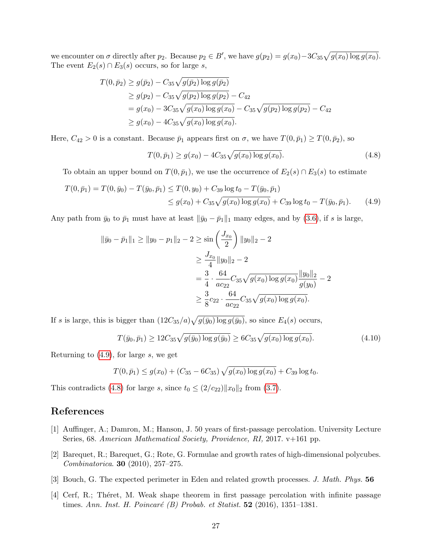we encounter on  $\sigma$  directly after  $p_2$ . Because  $p_2 \in B'$ , we have  $g(p_2) = g(x_0) - 3C_{35}\sqrt{g(x_0)\log g(x_0)}$ . The event  $E_2(s) \cap E_3(s)$  occurs, so for large s,

$$
T(0, \bar{p}_2) \ge g(\bar{p}_2) - C_{35}\sqrt{g(\bar{p}_2) \log g(\bar{p}_2)}
$$
  
\n
$$
\ge g(p_2) - C_{35}\sqrt{g(p_2) \log g(p_2)} - C_{42}
$$
  
\n
$$
= g(x_0) - 3C_{35}\sqrt{g(x_0) \log g(x_0)} - C_{35}\sqrt{g(p_2) \log g(p_2)} - C_{42}
$$
  
\n
$$
\ge g(x_0) - 4C_{35}\sqrt{g(x_0) \log g(x_0)}.
$$

Here,  $C_{42} > 0$  is a constant. Because  $\bar{p}_1$  appears first on  $\sigma$ , we have  $T(0, \bar{p}_1) \ge T(0, \bar{p}_2)$ , so

<span id="page-26-6"></span><span id="page-26-5"></span>
$$
T(0,\bar{p}_1) \ge g(x_0) - 4C_{35}\sqrt{g(x_0)\log g(x_0)}.
$$
\n(4.8)

To obtain an upper bound on  $T(0, \bar{p}_1)$ , we use the occurrence of  $E_2(s) \cap E_3(s)$  to estimate

$$
T(0,\bar{p}_1) = T(0,\bar{y}_0) - T(\bar{y}_0,\bar{p}_1) \le T(0,y_0) + C_{39} \log t_0 - T(\bar{y}_0,\bar{p}_1)
$$
  

$$
\le g(x_0) + C_{35} \sqrt{g(x_0) \log g(x_0)} + C_{39} \log t_0 - T(\bar{y}_0,\bar{p}_1).
$$
 (4.9)

Any path from  $\bar{y}_0$  to  $\bar{p}_1$  must have at least  $\|\bar{y}_0 - \bar{p}_1\|_1$  many edges, and by [\(3.6\)](#page-17-4), if s is large,

$$
\|\bar{y}_0 - \bar{p}_1\|_1 \ge \|y_0 - p_1\|_2 - 2 \ge \sin\left(\frac{J_{x_0}}{2}\right) \|y_0\|_2 - 2
$$
  

$$
\ge \frac{J_{x_0}}{4} \|y_0\|_2 - 2
$$
  

$$
= \frac{3}{4} \cdot \frac{64}{ac_{22}} C_{35} \sqrt{g(x_0) \log g(x_0)} \frac{\|y_0\|_2}{g(y_0)} - 2
$$
  

$$
\ge \frac{3}{8} c_{22} \cdot \frac{64}{ac_{22}} C_{35} \sqrt{g(x_0) \log g(x_0)}.
$$

If s is large, this is bigger than  $(12C_{35}/a)\sqrt{g(\bar{y}_0)\log g(\bar{y}_0)}$ , so since  $E_4(s)$  occurs,

<span id="page-26-4"></span>
$$
T(\bar{y}_0, \bar{p}_1) \ge 12C_{35}\sqrt{g(\bar{y}_0)\log g(\bar{y}_0)} \ge 6C_{35}\sqrt{g(x_0)\log g(x_0)}.
$$
\n(4.10)

Returning to  $(4.9)$ , for large s, we get

$$
T(0,\bar{p}_1) \le g(x_0) + (C_{35} - 6C_{35})\sqrt{g(x_0)\log g(x_0)} + C_{39}\log t_0.
$$

This contradicts [\(4.8\)](#page-26-6) for large s, since  $t_0 \leq (2/c_{22})||x_0||_2$  from [\(3.7\)](#page-17-1).

# References

- <span id="page-26-0"></span>[1] Auffinger, A.; Damron, M.; Hanson, J. 50 years of first-passage percolation. University Lecture Series, 68. American Mathematical Society, Providence, RI, 2017. v+161 pp.
- <span id="page-26-2"></span>[2] Barequet, R.; Barequet, G.; Rote, G. Formulae and growth rates of high-dimensional polycubes. Combinatorica. 30 (2010), 257–275.
- <span id="page-26-1"></span>[3] Bouch, G. The expected perimeter in Eden and related growth processes. J. Math. Phys. 56
- <span id="page-26-3"></span>[4] Cerf, R.; Théret, M. Weak shape theorem in first passage percolation with infinite passage times. Ann. Inst. H. Poincaré (B) Probab. et Statist.  $52$  (2016), 1351–1381.